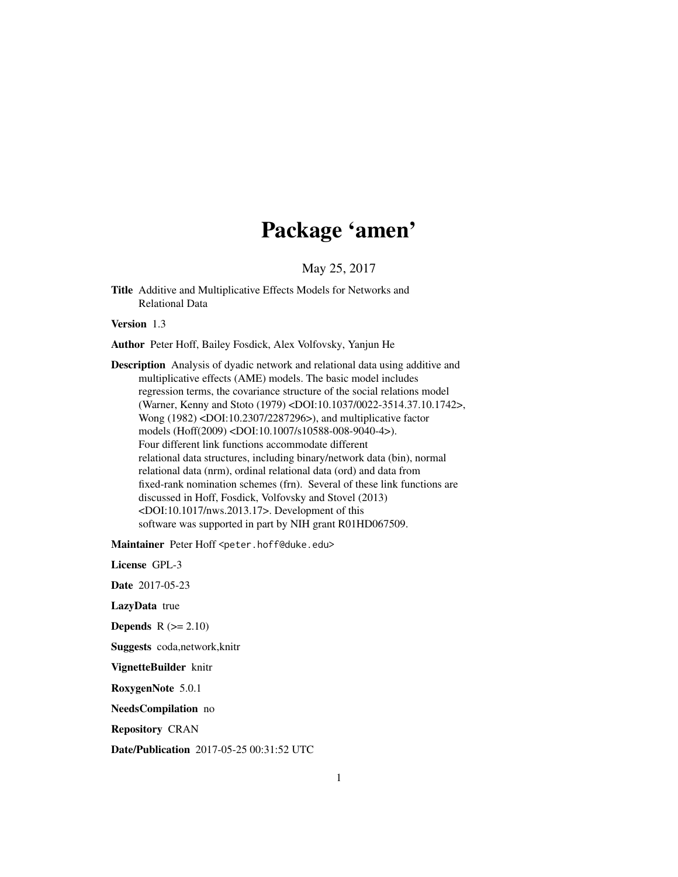# Package 'amen'

May 25, 2017

Title Additive and Multiplicative Effects Models for Networks and Relational Data

Version 1.3

Author Peter Hoff, Bailey Fosdick, Alex Volfovsky, Yanjun He

Description Analysis of dyadic network and relational data using additive and multiplicative effects (AME) models. The basic model includes regression terms, the covariance structure of the social relations model (Warner, Kenny and Stoto (1979) <DOI:10.1037/0022-3514.37.10.1742>, Wong (1982) <DOI:10.2307/2287296>), and multiplicative factor models (Hoff(2009) <DOI:10.1007/s10588-008-9040-4>). Four different link functions accommodate different relational data structures, including binary/network data (bin), normal relational data (nrm), ordinal relational data (ord) and data from fixed-rank nomination schemes (frn). Several of these link functions are discussed in Hoff, Fosdick, Volfovsky and Stovel (2013) <DOI:10.1017/nws.2013.17>. Development of this software was supported in part by NIH grant R01HD067509.

Maintainer Peter Hoff <peter.hoff@duke.edu>

License GPL-3 Date 2017-05-23 LazyData true **Depends**  $R (= 2.10)$ Suggests coda,network,knitr VignetteBuilder knitr RoxygenNote 5.0.1 NeedsCompilation no Repository CRAN

Date/Publication 2017-05-25 00:31:52 UTC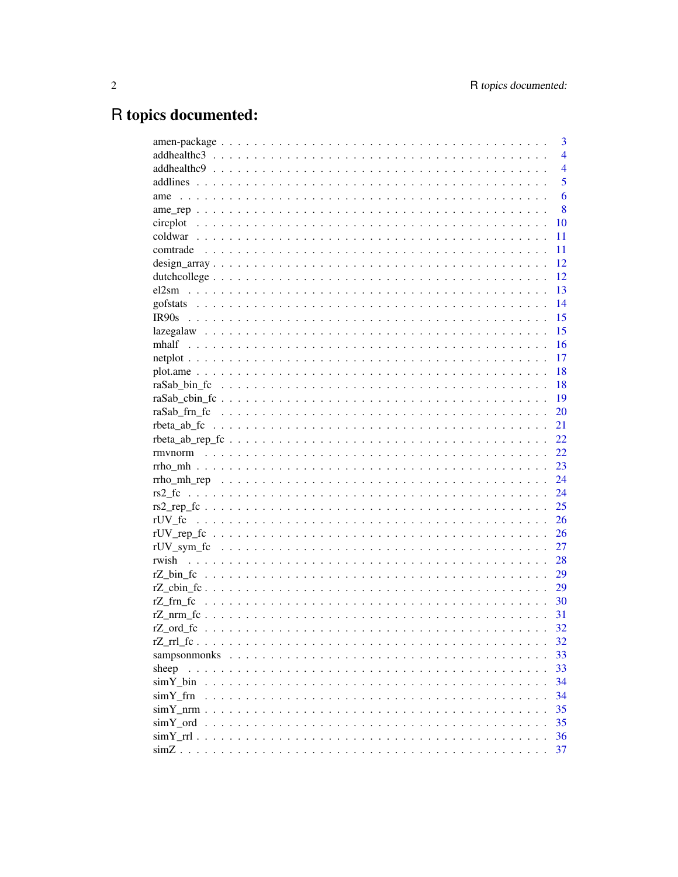# R topics documented:

|          | 3              |
|----------|----------------|
|          | $\overline{4}$ |
|          | $\overline{4}$ |
|          | 5              |
|          | 6              |
|          | 8              |
|          | 10             |
|          | 11             |
|          | 11             |
|          | 12             |
|          | 12             |
|          | 13             |
|          | 14             |
|          | 15             |
|          | 15             |
|          | 16             |
|          | 17             |
|          | 18             |
|          | 18             |
|          | 19             |
|          | 20             |
|          |                |
|          | 21             |
|          | 22             |
|          | 22             |
|          | 23             |
|          | 24             |
|          | 24             |
|          | 25             |
|          | 26             |
|          | 26             |
|          | 27             |
| rwish    | 28             |
|          | 29             |
|          | 29             |
|          | 30             |
|          | 31             |
|          | 32             |
|          | 32             |
|          | 33             |
| sheep    | 33             |
|          | 34             |
| simY frn | 34             |
|          | 35             |
|          | 35             |
|          | 36             |
|          | 37             |
|          |                |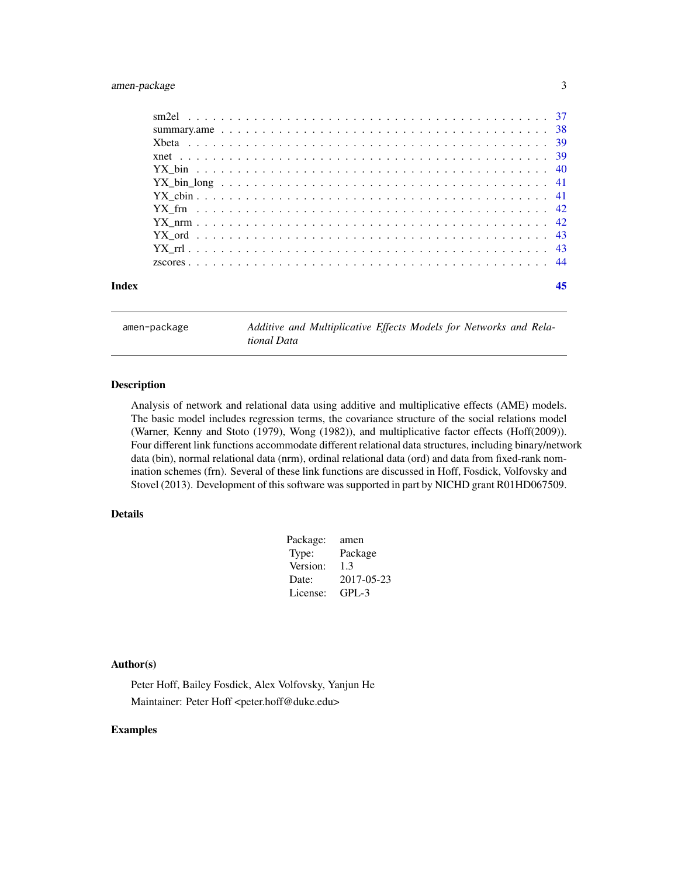### <span id="page-2-0"></span>amen-package 3

| Index |  |
|-------|--|
|       |  |
|       |  |
|       |  |
|       |  |
|       |  |
|       |  |
|       |  |
|       |  |
|       |  |
|       |  |
|       |  |
|       |  |

amen-package *Additive and Multiplicative Effects Models for Networks and Relational Data*

### Description

Analysis of network and relational data using additive and multiplicative effects (AME) models. The basic model includes regression terms, the covariance structure of the social relations model (Warner, Kenny and Stoto (1979), Wong (1982)), and multiplicative factor effects (Hoff(2009)). Four different link functions accommodate different relational data structures, including binary/network data (bin), normal relational data (nrm), ordinal relational data (ord) and data from fixed-rank nomination schemes (frn). Several of these link functions are discussed in Hoff, Fosdick, Volfovsky and Stovel (2013). Development of this software was supported in part by NICHD grant R01HD067509.

### Details

| Package: | amen       |
|----------|------------|
| Type:    | Package    |
| Version: | 1.3        |
| Date:    | 2017-05-23 |
| License: | $GPI - 3$  |
|          |            |

#### Author(s)

Peter Hoff, Bailey Fosdick, Alex Volfovsky, Yanjun He Maintainer: Peter Hoff <peter.hoff@duke.edu>

### Examples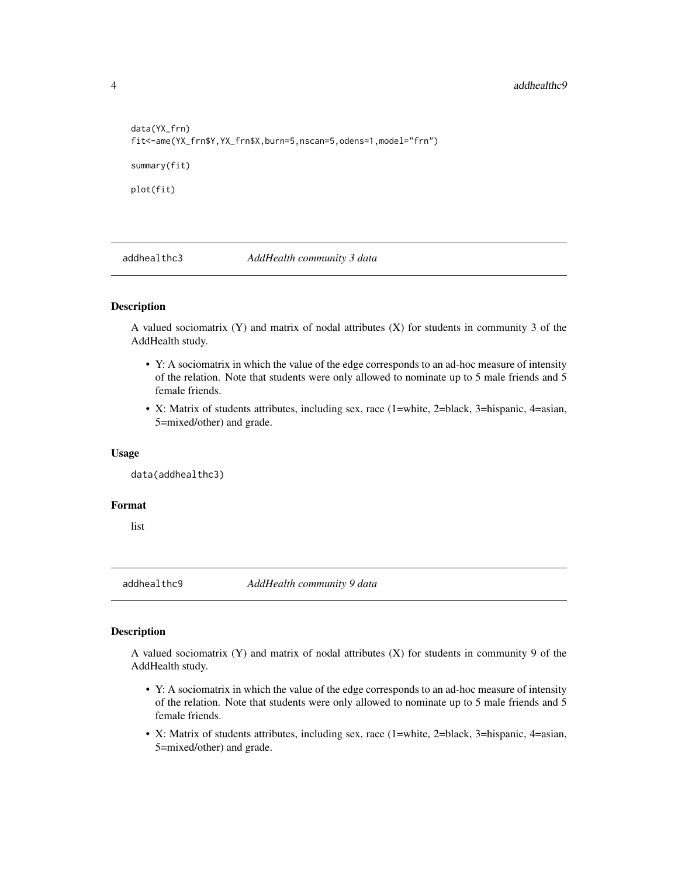```
data(YX_frn)
fit<-ame(YX_frn$Y,YX_frn$X,burn=5,nscan=5,odens=1,model="frn")
summary(fit)
plot(fit)
```
addhealthc3 *AddHealth community 3 data*

#### Description

A valued sociomatrix (Y) and matrix of nodal attributes (X) for students in community 3 of the AddHealth study.

- Y: A sociomatrix in which the value of the edge corresponds to an ad-hoc measure of intensity of the relation. Note that students were only allowed to nominate up to 5 male friends and 5 female friends.
- X: Matrix of students attributes, including sex, race (1=white, 2=black, 3=hispanic, 4=asian, 5=mixed/other) and grade.

#### Usage

data(addhealthc3)

#### Format

list

addhealthc9 *AddHealth community 9 data*

#### Description

A valued sociomatrix (Y) and matrix of nodal attributes (X) for students in community 9 of the AddHealth study.

- Y: A sociomatrix in which the value of the edge corresponds to an ad-hoc measure of intensity of the relation. Note that students were only allowed to nominate up to 5 male friends and 5 female friends.
- X: Matrix of students attributes, including sex, race (1=white, 2=black, 3=hispanic, 4=asian, 5=mixed/other) and grade.

<span id="page-3-0"></span>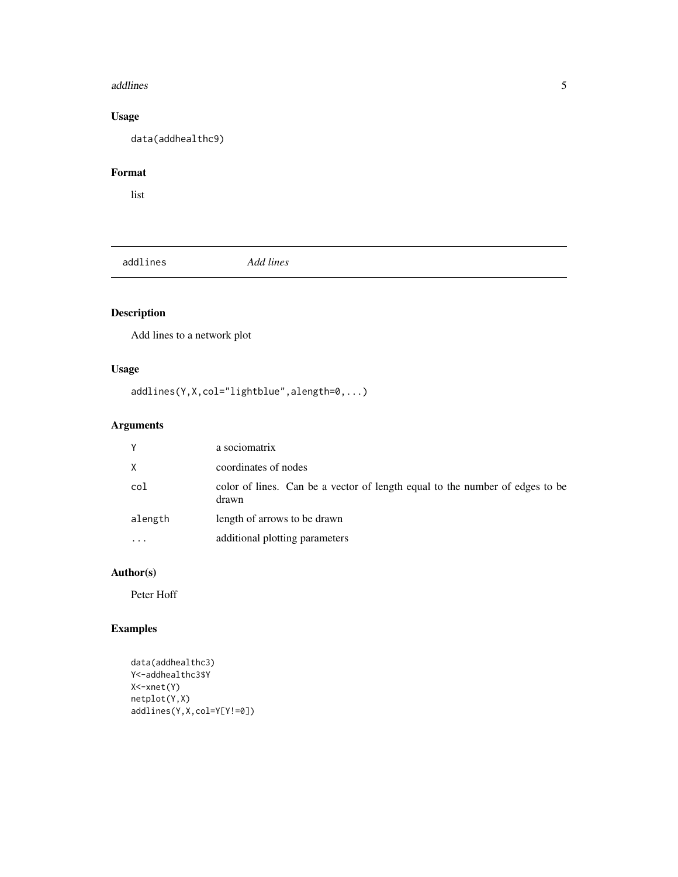#### <span id="page-4-0"></span>addlines 5

### Usage

data(addhealthc9)

### Format

list

addlines *Add lines*

### Description

Add lines to a network plot

### Usage

addlines(Y,X,col="lightblue",alength=0,...)

### Arguments

| Y        | a sociomatrix                                                                         |
|----------|---------------------------------------------------------------------------------------|
| $\times$ | coordinates of nodes                                                                  |
| col      | color of lines. Can be a vector of length equal to the number of edges to be<br>drawn |
| alength  | length of arrows to be drawn                                                          |
| $\cdot$  | additional plotting parameters                                                        |

### Author(s)

Peter Hoff

### Examples

```
data(addhealthc3)
Y<-addhealthc3$Y
X<-xnet(Y)
netplot(Y,X)
addlines(Y,X,col=Y[Y!=0])
```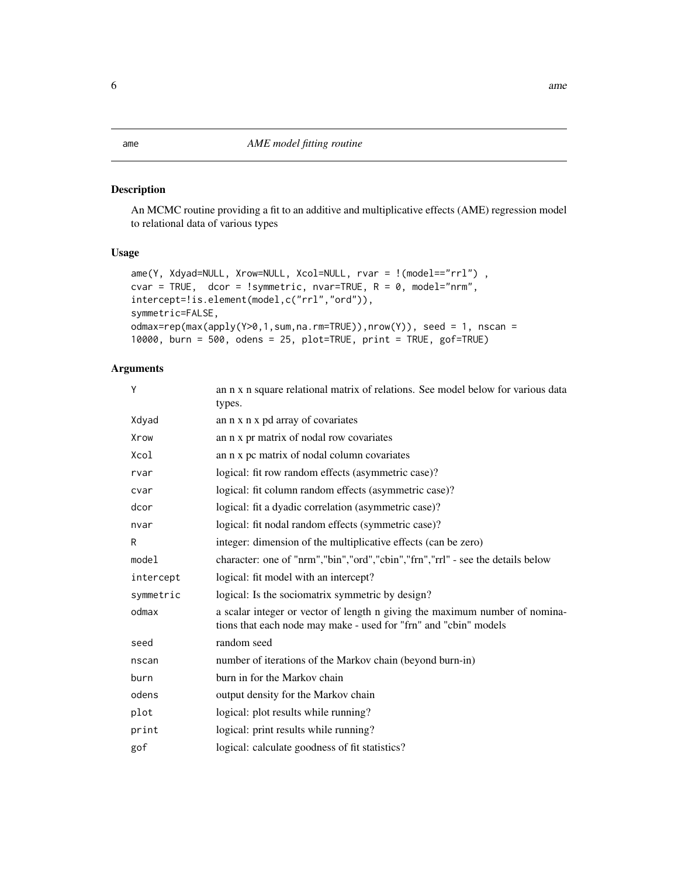<span id="page-5-0"></span>An MCMC routine providing a fit to an additive and multiplicative effects (AME) regression model to relational data of various types

### Usage

```
ame(Y, Xdyad=NULL, Xrow=NULL, Xcol=NULL, rvar = !(model=="rrl"),
cvar = TRUE, dcor = !symmetric, nvar=TRUE, R = 0, model="nrm",intercept=!is.element(model,c("rrl","ord")),
symmetric=FALSE,
odmax=rep(max(apply(Y>0,1,sum,na.rm=TRUE)),nrow(Y)), seed = 1, nscan =
10000, burn = 500, odens = 25, plot=TRUE, print = TRUE, gof=TRUE)
```
#### Arguments

| Υ         | an n x n square relational matrix of relations. See model below for various data<br>types.                                                      |
|-----------|-------------------------------------------------------------------------------------------------------------------------------------------------|
| Xdyad     | an n x n x pd array of covariates                                                                                                               |
| Xrow      | an n x pr matrix of nodal row covariates                                                                                                        |
| Xcol      | an n x pc matrix of nodal column covariates                                                                                                     |
| rvar      | logical: fit row random effects (asymmetric case)?                                                                                              |
| cvar      | logical: fit column random effects (asymmetric case)?                                                                                           |
| dcor      | logical: fit a dyadic correlation (asymmetric case)?                                                                                            |
| nvar      | logical: fit nodal random effects (symmetric case)?                                                                                             |
| R         | integer: dimension of the multiplicative effects (can be zero)                                                                                  |
| model     | character: one of "nrm", "bin", "ord", "cbin", "frn", "rrl" - see the details below                                                             |
| intercept | logical: fit model with an intercept?                                                                                                           |
| symmetric | logical: Is the sociomatrix symmetric by design?                                                                                                |
| odmax     | a scalar integer or vector of length n giving the maximum number of nomina-<br>tions that each node may make - used for "frn" and "cbin" models |
| seed      | random seed                                                                                                                                     |
| nscan     | number of iterations of the Markov chain (beyond burn-in)                                                                                       |
| burn      | burn in for the Markov chain                                                                                                                    |
| odens     | output density for the Markov chain                                                                                                             |
| plot      | logical: plot results while running?                                                                                                            |
| print     | logical: print results while running?                                                                                                           |
| gof       | logical: calculate goodness of fit statistics?                                                                                                  |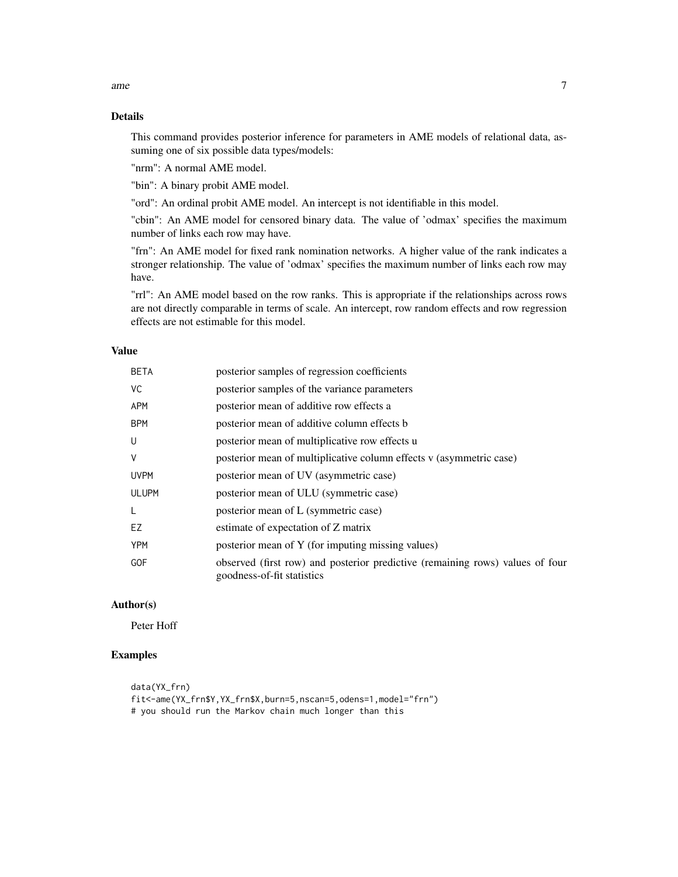This command provides posterior inference for parameters in AME models of relational data, assuming one of six possible data types/models:

"nrm": A normal AME model.

"bin": A binary probit AME model.

"ord": An ordinal probit AME model. An intercept is not identifiable in this model.

"cbin": An AME model for censored binary data. The value of 'odmax' specifies the maximum number of links each row may have.

"frn": An AME model for fixed rank nomination networks. A higher value of the rank indicates a stronger relationship. The value of 'odmax' specifies the maximum number of links each row may have.

"rrl": An AME model based on the row ranks. This is appropriate if the relationships across rows are not directly comparable in terms of scale. An intercept, row random effects and row regression effects are not estimable for this model.

#### Value

| <b>BETA</b>  | posterior samples of regression coefficients                                                                |
|--------------|-------------------------------------------------------------------------------------------------------------|
| VC           | posterior samples of the variance parameters                                                                |
| <b>APM</b>   | posterior mean of additive row effects a                                                                    |
| <b>BPM</b>   | posterior mean of additive column effects b                                                                 |
| U            | posterior mean of multiplicative row effects u                                                              |
| V            | posterior mean of multiplicative column effects v (asymmetric case)                                         |
| <b>UVPM</b>  | posterior mean of UV (asymmetric case)                                                                      |
| <b>ULUPM</b> | posterior mean of ULU (symmetric case)                                                                      |
| L            | posterior mean of L (symmetric case)                                                                        |
| EZ           | estimate of expectation of Z matrix                                                                         |
| <b>YPM</b>   | posterior mean of Y (for imputing missing values)                                                           |
| <b>GOF</b>   | observed (first row) and posterior predictive (remaining rows) values of four<br>goodness-of-fit statistics |

#### Author(s)

Peter Hoff

### Examples

data(YX\_frn) fit<-ame(YX\_frn\$Y,YX\_frn\$X,burn=5,nscan=5,odens=1,model="frn") # you should run the Markov chain much longer than this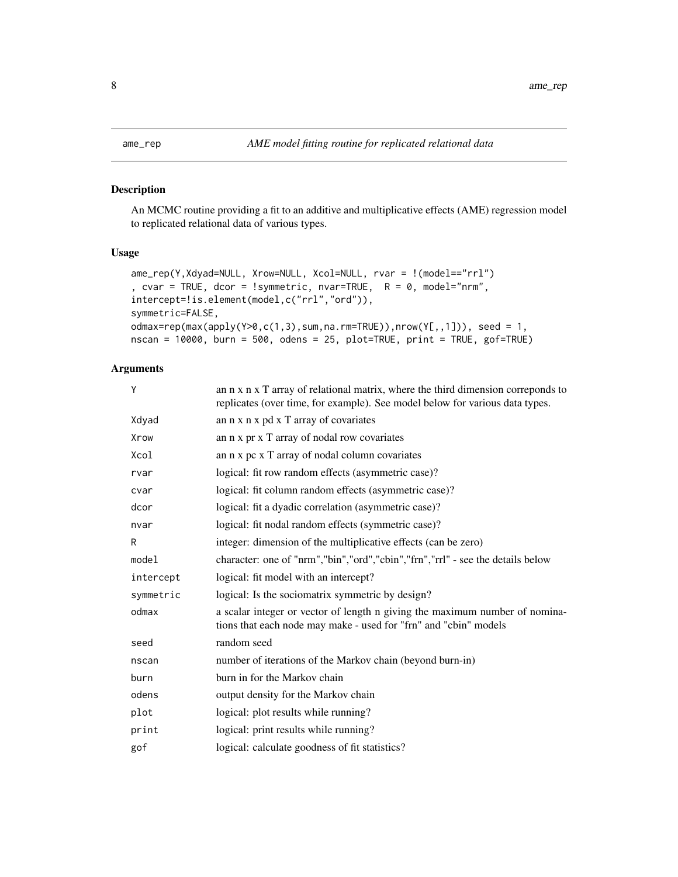An MCMC routine providing a fit to an additive and multiplicative effects (AME) regression model to replicated relational data of various types.

### Usage

```
ame_rep(Y,Xdyad=NULL, Xrow=NULL, Xcol=NULL, rvar = !(model=="rrl")
, cvar = TRUE, dcor = !symmetric, nvar=TRUE, R = 0, model="nrm",
intercept=!is.element(model,c("rrl","ord")),
symmetric=FALSE,
odmax=rep(max(apply(Y>0,c(1,3),sum,na.rm=TRUE)),nrow(Y[,,1])), seed = 1,
nscan = 10000, burn = 500, odens = 25, plot=TRUE, print = TRUE, gof=TRUE)
```
### Arguments

| γ         | an n x n x T array of relational matrix, where the third dimension correponds to<br>replicates (over time, for example). See model below for various data types. |  |
|-----------|------------------------------------------------------------------------------------------------------------------------------------------------------------------|--|
| Xdyad     | an n x n x pd x T array of covariates                                                                                                                            |  |
| Xrow      | an n x pr x T array of nodal row covariates                                                                                                                      |  |
| Xcol      | an n x pc x T array of nodal column covariates                                                                                                                   |  |
| rvar      | logical: fit row random effects (asymmetric case)?                                                                                                               |  |
| cvar      | logical: fit column random effects (asymmetric case)?                                                                                                            |  |
| dcor      | logical: fit a dyadic correlation (asymmetric case)?                                                                                                             |  |
| nvar      | logical: fit nodal random effects (symmetric case)?                                                                                                              |  |
| R         | integer: dimension of the multiplicative effects (can be zero)                                                                                                   |  |
| model     | character: one of "nrm", "bin", "ord", "cbin", "frn", "rrl" - see the details below                                                                              |  |
| intercept | logical: fit model with an intercept?                                                                                                                            |  |
| symmetric | logical: Is the sociomatrix symmetric by design?                                                                                                                 |  |
| odmax     | a scalar integer or vector of length n giving the maximum number of nomina-<br>tions that each node may make - used for "frn" and "cbin" models                  |  |
| seed      | random seed                                                                                                                                                      |  |
| nscan     | number of iterations of the Markov chain (beyond burn-in)                                                                                                        |  |
| burn      | burn in for the Markov chain                                                                                                                                     |  |
| odens     | output density for the Markov chain                                                                                                                              |  |
| plot      | logical: plot results while running?                                                                                                                             |  |
| print     | logical: print results while running?                                                                                                                            |  |
| gof       | logical: calculate goodness of fit statistics?                                                                                                                   |  |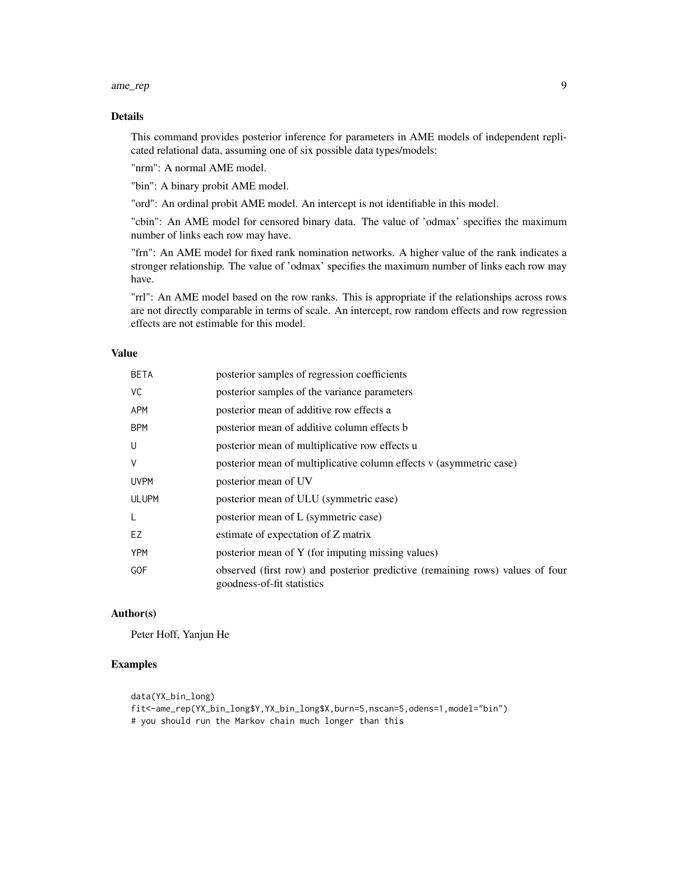#### ame\_rep 9

### Details

This command provides posterior inference for parameters in AME models of independent replicated relational data, assuming one of six possible data types/models:

"nrm": A normal AME model.

"bin": A binary probit AME model.

"ord": An ordinal probit AME model. An intercept is not identifiable in this model.

"cbin": An AME model for censored binary data. The value of 'odmax' specifies the maximum number of links each row may have.

"frn": An AME model for fixed rank nomination networks. A higher value of the rank indicates a stronger relationship. The value of 'odmax' specifies the maximum number of links each row may have.

"rrl": An AME model based on the row ranks. This is appropriate if the relationships across rows are not directly comparable in terms of scale. An intercept, row random effects and row regression effects are not estimable for this model.

### Value

| <b>BETA</b>  | posterior samples of regression coefficients                                                                |
|--------------|-------------------------------------------------------------------------------------------------------------|
| VC.          | posterior samples of the variance parameters                                                                |
| <b>APM</b>   | posterior mean of additive row effects a                                                                    |
| <b>BPM</b>   | posterior mean of additive column effects b                                                                 |
| U            | posterior mean of multiplicative row effects u                                                              |
| V            | posterior mean of multiplicative column effects v (asymmetric case)                                         |
| <b>UVPM</b>  | posterior mean of UV                                                                                        |
| <b>ULUPM</b> | posterior mean of ULU (symmetric case)                                                                      |
| L            | posterior mean of L (symmetric case)                                                                        |
| EZ           | estimate of expectation of Z matrix                                                                         |
| <b>YPM</b>   | posterior mean of Y (for imputing missing values)                                                           |
| <b>GOF</b>   | observed (first row) and posterior predictive (remaining rows) values of four<br>goodness-of-fit statistics |

#### Author(s)

Peter Hoff, Yanjun He

### Examples

```
data(YX_bin_long)
fit<-ame_rep(YX_bin_long$Y,YX_bin_long$X,burn=5,nscan=5,odens=1,model="bin")
# you should run the Markov chain much longer than this
```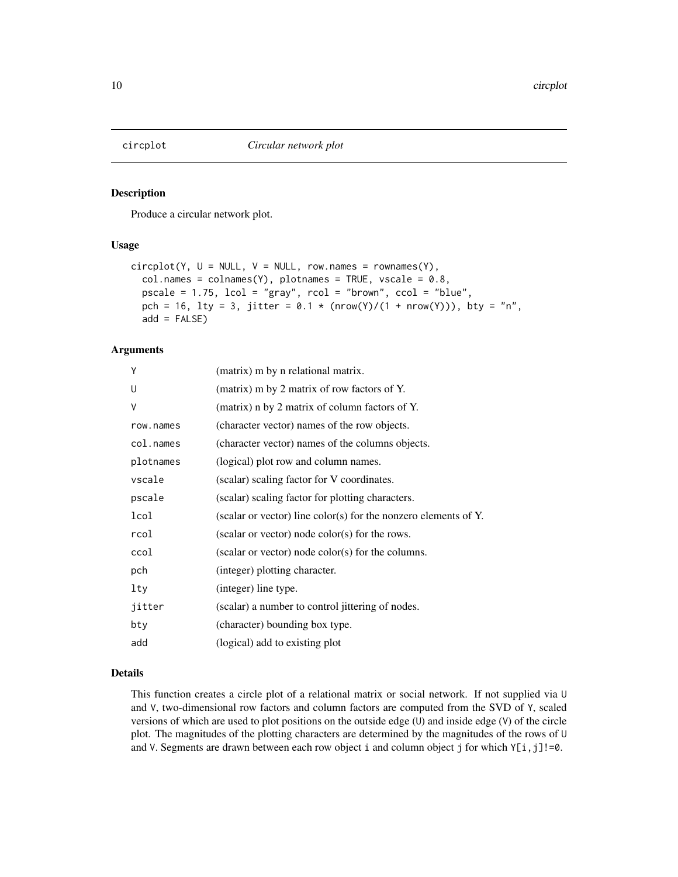<span id="page-9-0"></span>

Produce a circular network plot.

### Usage

```
circplot(Y, U = NULL, V = NULL, row.name = rownames(Y),col.names = colnames(Y), plotnames = TRUE, vscale = 0.8,pscale = 1.75, lcol = "gray", rcol = "brown", ccol = "blue",
 pch = 16, lty = 3, jitter = 0.1 * (nrow(Y)/(1 + nrow(Y))), bty = "n",
  add = FALSE)
```
#### Arguments

| Y         | (matrix) m by n relational matrix.                              |
|-----------|-----------------------------------------------------------------|
| U         | (matrix) m by 2 matrix of row factors of Y.                     |
| V         | (matrix) n by 2 matrix of column factors of Y.                  |
| row.names | (character vector) names of the row objects.                    |
| col.names | (character vector) names of the columns objects.                |
| plotnames | (logical) plot row and column names.                            |
| vscale    | (scalar) scaling factor for V coordinates.                      |
| pscale    | (scalar) scaling factor for plotting characters.                |
| lcol      | (scalar or vector) line color(s) for the nonzero elements of Y. |
| rcol      | (scalar or vector) node color(s) for the rows.                  |
| ccol      | (scalar or vector) node color(s) for the columns.               |
| pch       | (integer) plotting character.                                   |
| lty       | (integer) line type.                                            |
| jitter    | (scalar) a number to control jittering of nodes.                |
| bty       | (character) bounding box type.                                  |
| add       | (logical) add to existing plot                                  |

### Details

This function creates a circle plot of a relational matrix or social network. If not supplied via U and V, two-dimensional row factors and column factors are computed from the SVD of Y, scaled versions of which are used to plot positions on the outside edge (U) and inside edge (V) of the circle plot. The magnitudes of the plotting characters are determined by the magnitudes of the rows of U and V. Segments are drawn between each row object i and column object j for which  $Y[i,j]!=0$ .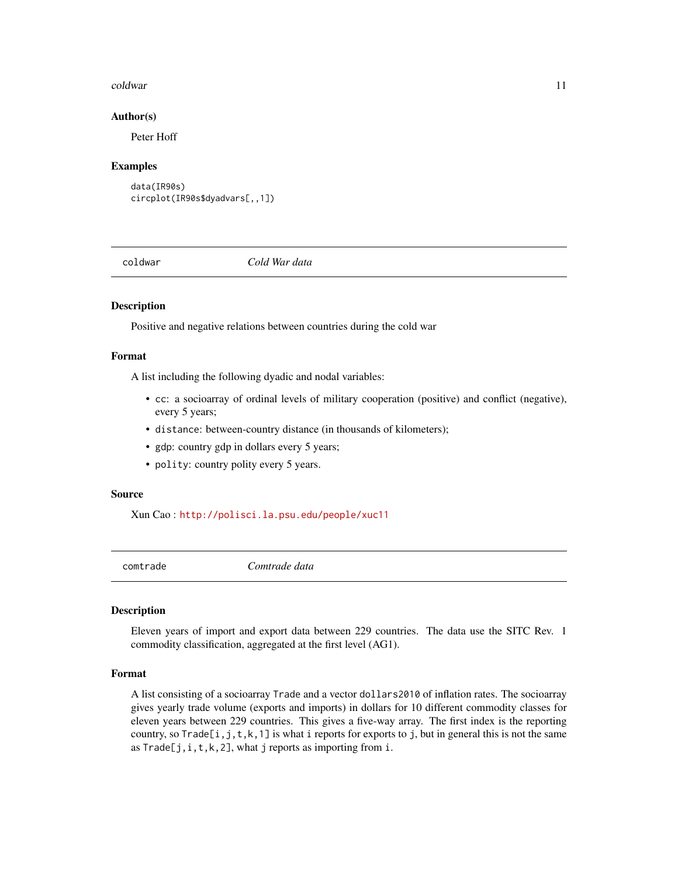#### <span id="page-10-0"></span>coldwar the contract of the contract of the contract of the contract of the contract of the contract of the contract of the contract of the contract of the contract of the contract of the contract of the contract of the co

#### Author(s)

Peter Hoff

#### Examples

```
data(IR90s)
circplot(IR90s$dyadvars[,,1])
```
coldwar *Cold War data*

#### Description

Positive and negative relations between countries during the cold war

#### Format

A list including the following dyadic and nodal variables:

- cc: a socioarray of ordinal levels of military cooperation (positive) and conflict (negative), every 5 years;
- distance: between-country distance (in thousands of kilometers);
- gdp: country gdp in dollars every 5 years;
- polity: country polity every 5 years.

#### Source

Xun Cao : <http://polisci.la.psu.edu/people/xuc11>

comtrade *Comtrade data*

#### Description

Eleven years of import and export data between 229 countries. The data use the SITC Rev. 1 commodity classification, aggregated at the first level (AG1).

#### Format

A list consisting of a socioarray Trade and a vector dollars2010 of inflation rates. The socioarray gives yearly trade volume (exports and imports) in dollars for 10 different commodity classes for eleven years between 229 countries. This gives a five-way array. The first index is the reporting country, so Trade[i,j,t,k,1] is what i reports for exports to j, but in general this is not the same as  $Trade[j,i,t,k,2]$ , what j reports as importing from i.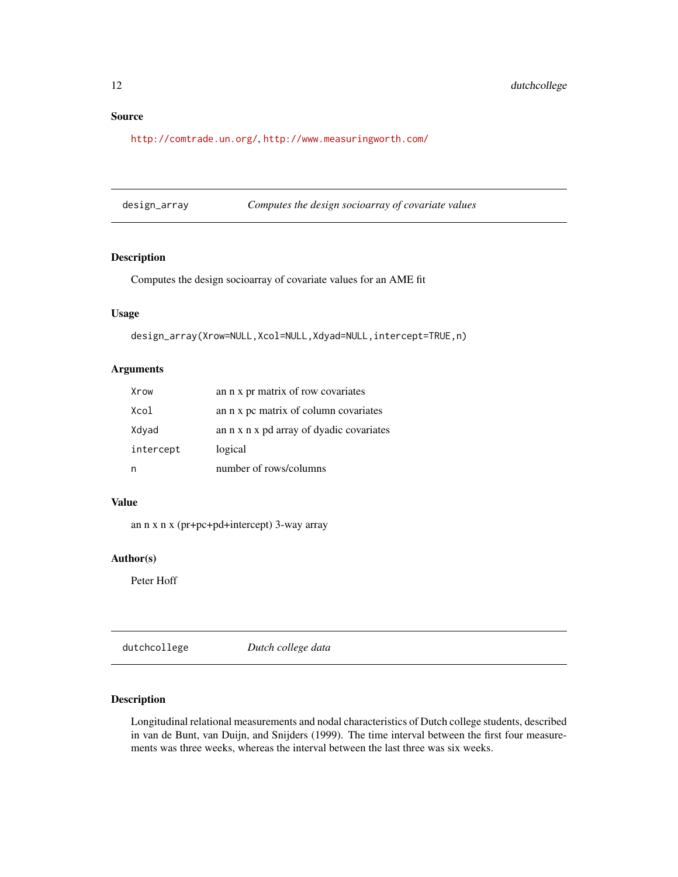<span id="page-11-0"></span><http://comtrade.un.org/>, <http://www.measuringworth.com/>

| design_array | Computes the design socioarray of covariate values |
|--------------|----------------------------------------------------|
|              |                                                    |

#### Description

Computes the design socioarray of covariate values for an AME fit

### Usage

design\_array(Xrow=NULL,Xcol=NULL,Xdyad=NULL,intercept=TRUE,n)

#### Arguments

| Xrow      | an n x pr matrix of row covariates       |
|-----------|------------------------------------------|
| Xcol      | an n x pc matrix of column covariates    |
| Xdyad     | an n x n x pd array of dyadic covariates |
| intercept | logical                                  |
|           | number of rows/columns                   |

### Value

an n x n x (pr+pc+pd+intercept) 3-way array

#### Author(s)

Peter Hoff

dutchcollege *Dutch college data*

### Description

Longitudinal relational measurements and nodal characteristics of Dutch college students, described in van de Bunt, van Duijn, and Snijders (1999). The time interval between the first four measurements was three weeks, whereas the interval between the last three was six weeks.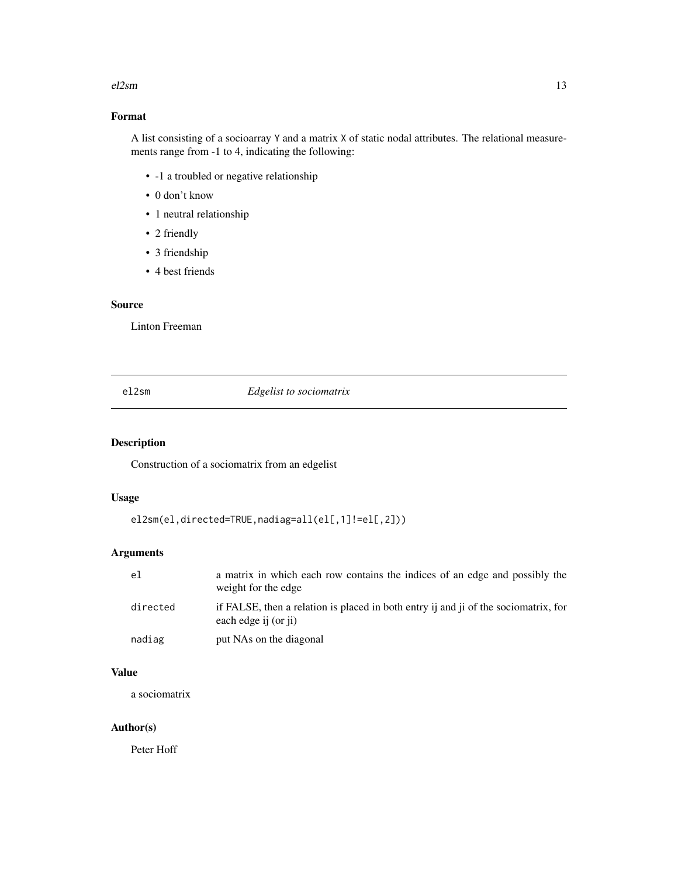#### <span id="page-12-0"></span> $e^{i2\pi i}$  and  $e^{i2\pi i}$  13

### Format

A list consisting of a socioarray Y and a matrix X of static nodal attributes. The relational measurements range from -1 to 4, indicating the following:

- -1 a troubled or negative relationship
- 0 don't know
- 1 neutral relationship
- 2 friendly
- 3 friendship
- 4 best friends

#### Source

Linton Freeman

#### el2sm *Edgelist to sociomatrix*

### Description

Construction of a sociomatrix from an edgelist

### Usage

```
el2sm(el,directed=TRUE,nadiag=all(el[,1]!=el[,2]))
```
### Arguments

| el       | a matrix in which each row contains the indices of an edge and possibly the<br>weight for the edge          |
|----------|-------------------------------------------------------------------------------------------------------------|
| directed | if FALSE, then a relation is placed in both entry ij and ji of the sociomatrix, for<br>each edge ij (or ji) |
| nadiag   | put NAs on the diagonal                                                                                     |

### Value

a sociomatrix

#### Author(s)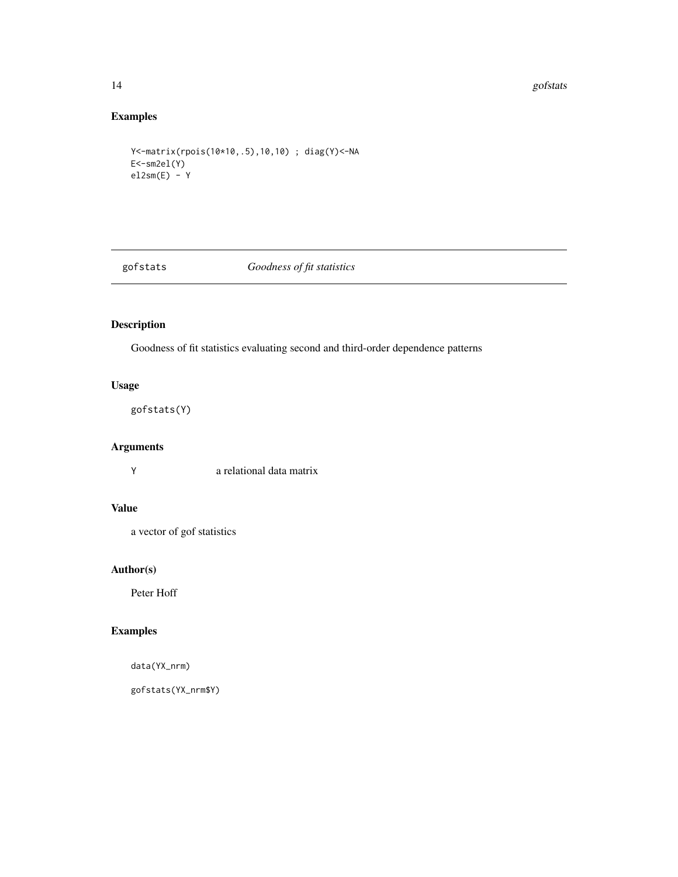#### <span id="page-13-0"></span>14 gofstats and the set of the set of the set of the set of the set of the set of the set of the set of the set of the set of the set of the set of the set of the set of the set of the set of the set of the set of the set

### Examples

```
Y<-matrix(rpois(10*10,.5),10,10) ; diag(Y)<-NA
E<-sm2el(Y)
el2sm(E) - Y
```
gofstats *Goodness of fit statistics*

### Description

Goodness of fit statistics evaluating second and third-order dependence patterns

### Usage

gofstats(Y)

### Arguments

Y a relational data matrix

### Value

a vector of gof statistics

### Author(s)

Peter Hoff

### Examples

data(YX\_nrm)

gofstats(YX\_nrm\$Y)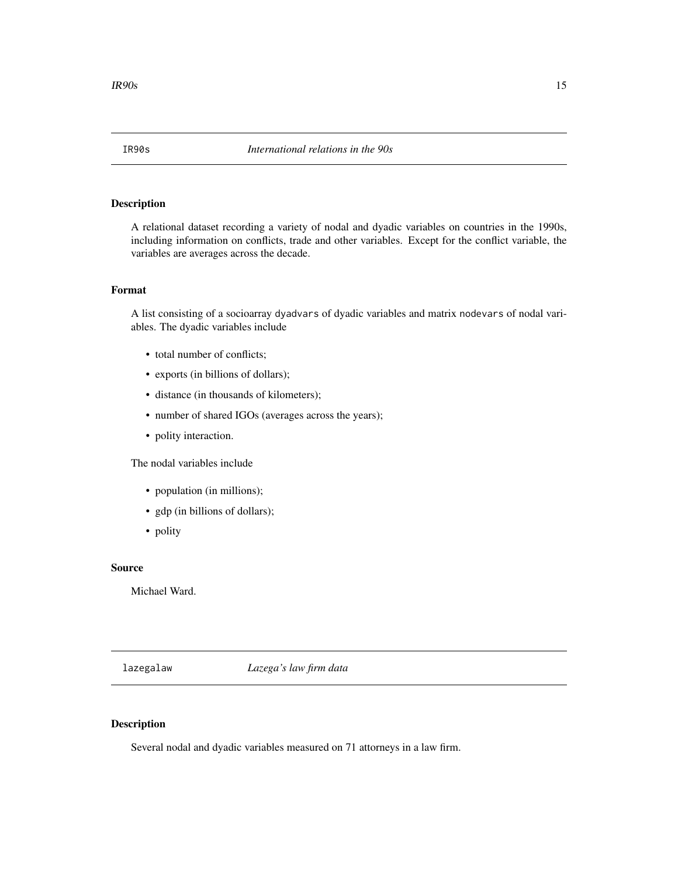<span id="page-14-0"></span>A relational dataset recording a variety of nodal and dyadic variables on countries in the 1990s, including information on conflicts, trade and other variables. Except for the conflict variable, the variables are averages across the decade.

### Format

A list consisting of a socioarray dyadvars of dyadic variables and matrix nodevars of nodal variables. The dyadic variables include

- total number of conflicts;
- exports (in billions of dollars);
- distance (in thousands of kilometers);
- number of shared IGOs (averages across the years);
- polity interaction.

The nodal variables include

- population (in millions);
- gdp (in billions of dollars);
- polity

### Source

Michael Ward.

lazegalaw *Lazega's law firm data*

### Description

Several nodal and dyadic variables measured on 71 attorneys in a law firm.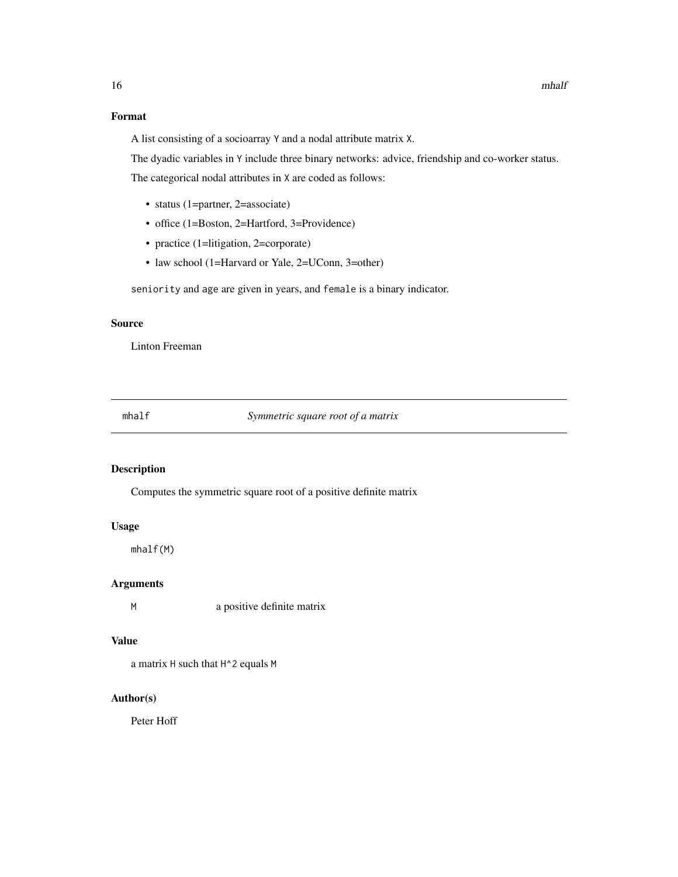### <span id="page-15-0"></span>Format

A list consisting of a socioarray Y and a nodal attribute matrix X.

The dyadic variables in Y include three binary networks: advice, friendship and co-worker status.

The categorical nodal attributes in X are coded as follows:

- status (1=partner, 2=associate)
- office (1=Boston, 2=Hartford, 3=Providence)
- practice (1=litigation, 2=corporate)
- law school (1=Harvard or Yale, 2=UConn, 3=other)

seniority and age are given in years, and female is a binary indicator.

### Source

Linton Freeman

mhalf *Symmetric square root of a matrix*

### Description

Computes the symmetric square root of a positive definite matrix

#### Usage

mhalf(M)

#### Arguments

M a positive definite matrix

#### Value

a matrix H such that H^2 equals M

#### Author(s)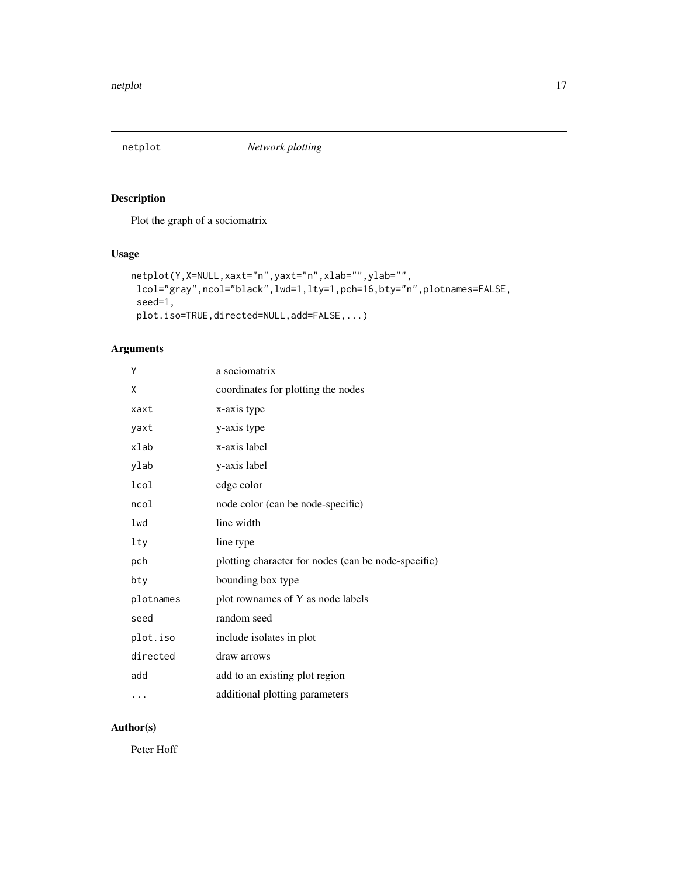<span id="page-16-0"></span>

Plot the graph of a sociomatrix

### Usage

```
netplot(Y,X=NULL,xaxt="n",yaxt="n",xlab="",ylab="",
lcol="gray",ncol="black",lwd=1,lty=1,pch=16,bty="n",plotnames=FALSE,
seed=1,
plot.iso=TRUE,directed=NULL,add=FALSE,...)
```
### Arguments

| Υ         | a sociomatrix                                       |
|-----------|-----------------------------------------------------|
| X         | coordinates for plotting the nodes                  |
| xaxt      | x-axis type                                         |
| yaxt      | y-axis type                                         |
| xlab      | x-axis label                                        |
| ylab      | y-axis label                                        |
| lcol      | edge color                                          |
| ncol      | node color (can be node-specific)                   |
| lwd       | line width                                          |
| lty       | line type                                           |
| pch       | plotting character for nodes (can be node-specific) |
| bty       | bounding box type                                   |
| plotnames | plot rownames of Y as node labels                   |
| seed      | random seed                                         |
| plot.iso  | include isolates in plot                            |
| directed  | draw arrows                                         |
| add       | add to an existing plot region                      |
| .         | additional plotting parameters                      |

### Author(s)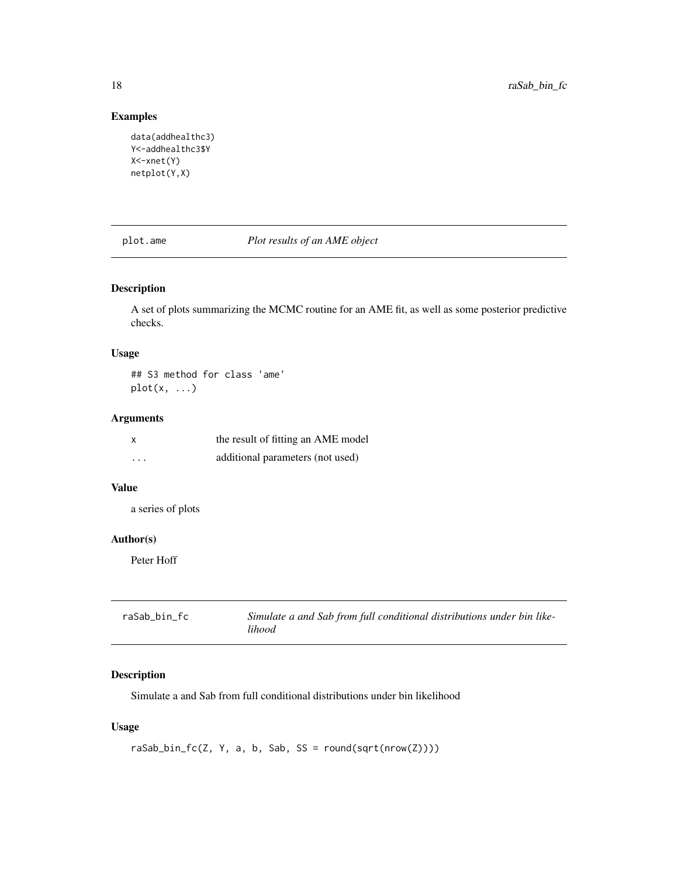### Examples

```
data(addhealthc3)
Y<-addhealthc3$Y
X<-xnet(Y)
netplot(Y,X)
```
plot.ame *Plot results of an AME object*

### Description

A set of plots summarizing the MCMC routine for an AME fit, as well as some posterior predictive checks.

#### Usage

## S3 method for class 'ame'  $plot(x, \ldots)$ 

### Arguments

| $\boldsymbol{\mathsf{x}}$ | the result of fitting an AME model |
|---------------------------|------------------------------------|
| $\cdots$                  | additional parameters (not used)   |

### Value

a series of plots

#### Author(s)

Peter Hoff

| raSab bin fc | Simulate a and Sab from full conditional distributions under bin like- |
|--------------|------------------------------------------------------------------------|
|              | lihood                                                                 |

### Description

Simulate a and Sab from full conditional distributions under bin likelihood

### Usage

```
raSab_bin_fc(Z, Y, a, b, Sab, SS = round(sqrt(nrow(Z))))
```
<span id="page-17-0"></span>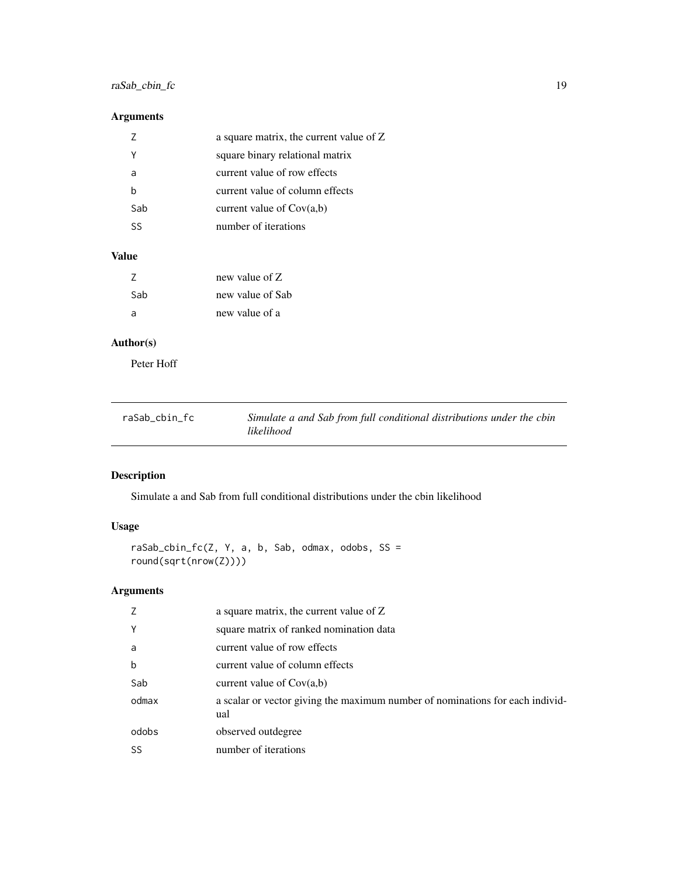### <span id="page-18-0"></span>raSab\_cbin\_fc 19

### Arguments

|     | a square matrix, the current value of Z |
|-----|-----------------------------------------|
| v   | square binary relational matrix         |
| a   | current value of row effects            |
| h   | current value of column effects         |
| Sab | current value of $Cov(a,b)$             |
| 52  | number of iterations                    |

### Value

| 7   | new value of Z   |
|-----|------------------|
| Sab | new value of Sab |
| -a  | new value of a   |

### Author(s)

Peter Hoff

| raSab cbin fc | Simulate a and Sab from full conditional distributions under the cbin |
|---------------|-----------------------------------------------------------------------|
|               | likelihood                                                            |

## Description

Simulate a and Sab from full conditional distributions under the cbin likelihood

### Usage

```
raSab_cbin_fc(Z, Y, a, b, Sab, odmax, odobs, SS =
round(sqrt(nrow(Z))))
```
### Arguments

| 7           | a square matrix, the current value of Z                                              |
|-------------|--------------------------------------------------------------------------------------|
| Y           | square matrix of ranked nomination data                                              |
| a           | current value of row effects                                                         |
| $\mathbf b$ | current value of column effects                                                      |
| Sab         | current value of $Cov(a,b)$                                                          |
| odmax       | a scalar or vector giving the maximum number of nominations for each individ-<br>ual |
| odobs       | observed outdegree                                                                   |
| SS          | number of iterations                                                                 |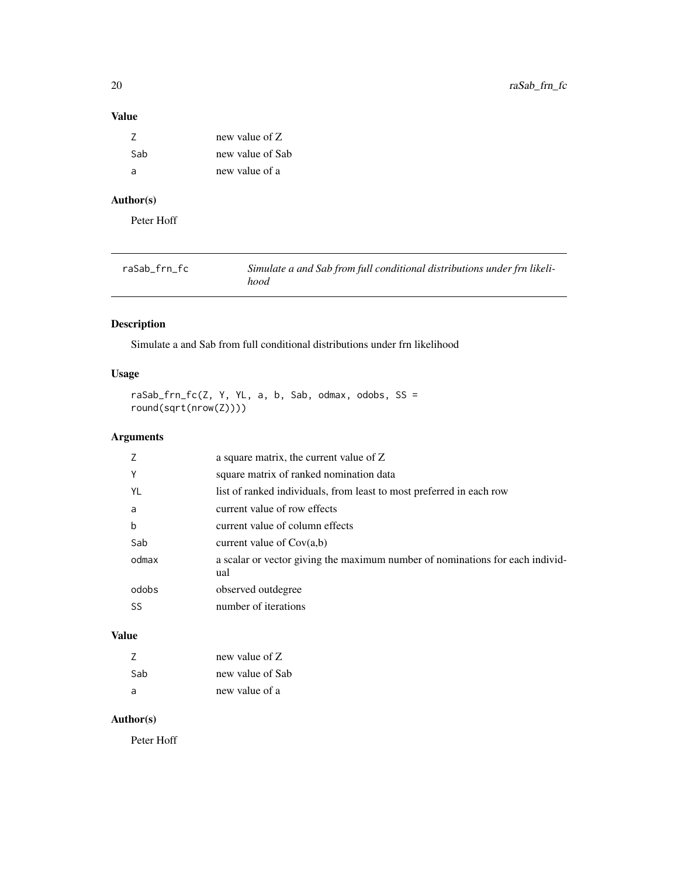### <span id="page-19-0"></span>Value

| 7   | new value of Z   |
|-----|------------------|
| Sab | new value of Sab |
| а   | new value of a   |

### Author(s)

Peter Hoff

| raSab frn fc | Simulate a and Sab from full conditional distributions under frn likeli- |
|--------------|--------------------------------------------------------------------------|
|              | hood                                                                     |

### Description

Simulate a and Sab from full conditional distributions under frn likelihood

### Usage

 $r$ aSab\_frn\_fc(Z, Y, YL, a, b, Sab, odmax, odobs, SS = round(sqrt(nrow(Z))))

### Arguments

| Y<br>square matrix of ranked nomination data<br>list of ranked individuals, from least to most preferred in each row<br>YL<br>current value of row effects<br>a<br>b<br>current value of column effects<br>Sab<br>current value of $Cov(a,b)$<br>odmax<br>ual<br>odobs<br>observed outdegree | a square matrix, the current value of Z                                       |
|----------------------------------------------------------------------------------------------------------------------------------------------------------------------------------------------------------------------------------------------------------------------------------------------|-------------------------------------------------------------------------------|
|                                                                                                                                                                                                                                                                                              |                                                                               |
|                                                                                                                                                                                                                                                                                              |                                                                               |
|                                                                                                                                                                                                                                                                                              |                                                                               |
|                                                                                                                                                                                                                                                                                              |                                                                               |
|                                                                                                                                                                                                                                                                                              |                                                                               |
|                                                                                                                                                                                                                                                                                              | a scalar or vector giving the maximum number of nominations for each individ- |
|                                                                                                                                                                                                                                                                                              |                                                                               |
| number of iterations<br>SS                                                                                                                                                                                                                                                                   |                                                                               |

### Value

| 7   | new value of Z   |
|-----|------------------|
| Sab | new value of Sab |
| a   | new value of a   |

### Author(s)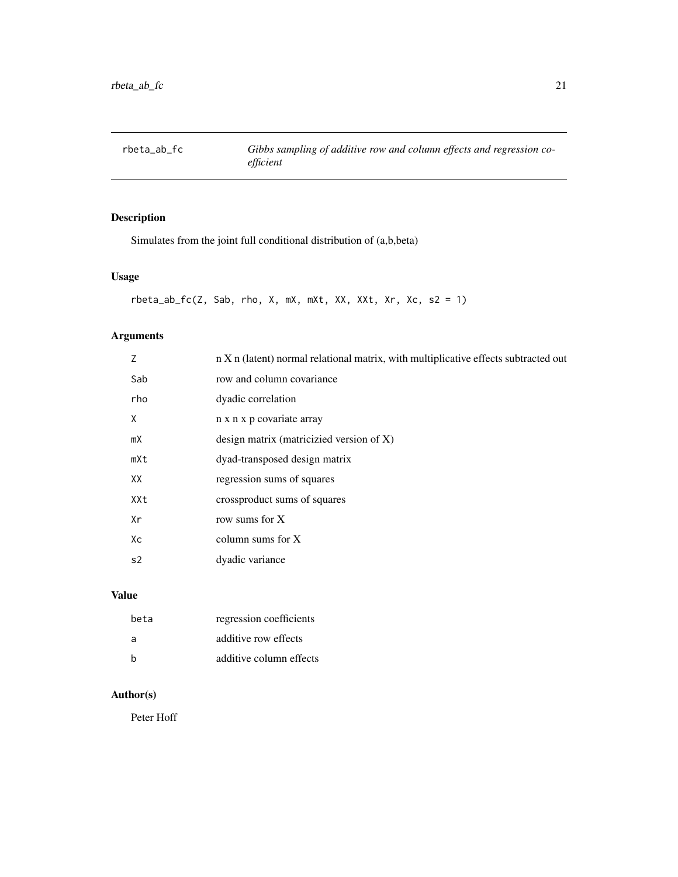<span id="page-20-0"></span>rbeta\_ab\_fc *Gibbs sampling of additive row and column effects and regression coefficient*

### Description

Simulates from the joint full conditional distribution of (a,b,beta)

### Usage

```
rbeta_ab_fc(Z, Sab, rho, X, mX, mXt, XX, XXt, Xr, Xc, s2 = 1)
```
### Arguments

| 7              | n X n (latent) normal relational matrix, with multiplicative effects subtracted out |
|----------------|-------------------------------------------------------------------------------------|
| Sab            | row and column covariance                                                           |
| rho            | dyadic correlation                                                                  |
| X              | n x n x p covariate array                                                           |
| mX             | design matrix (matricizied version of $X$ )                                         |
| mXt            | dyad-transposed design matrix                                                       |
| XX             | regression sums of squares                                                          |
| XXt            | crossproduct sums of squares                                                        |
| Xr             | row sums for X                                                                      |
| Xс             | column sums for $X$                                                                 |
| s <sub>2</sub> | dyadic variance                                                                     |
|                |                                                                                     |

### Value

| beta | regression coefficients |
|------|-------------------------|
| -a   | additive row effects    |
| h    | additive column effects |

### Author(s)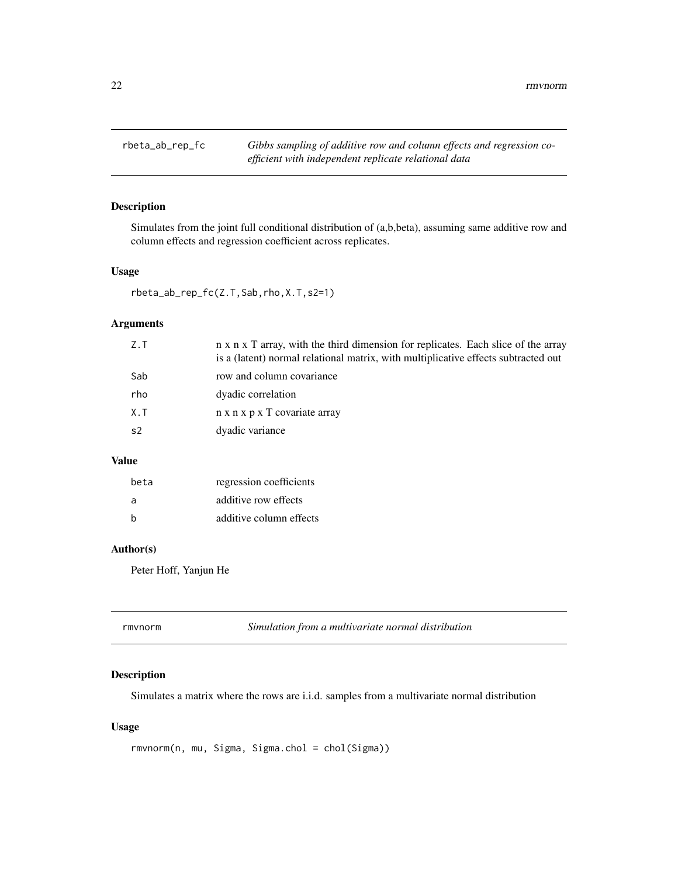<span id="page-21-0"></span>22 *m rmvnorm* 

### Description

Simulates from the joint full conditional distribution of (a,b,beta), assuming same additive row and column effects and regression coefficient across replicates.

#### Usage

rbeta\_ab\_rep\_fc(Z.T,Sab,rho,X.T,s2=1)

### Arguments

| Z.T            | n x n x T array, with the third dimension for replicates. Each slice of the array<br>is a (latent) normal relational matrix, with multiplicative effects subtracted out |
|----------------|-------------------------------------------------------------------------------------------------------------------------------------------------------------------------|
| Sab            | row and column covariance                                                                                                                                               |
| rho            | dyadic correlation                                                                                                                                                      |
| $X \cdot T$    | n x n x p x T covariate array                                                                                                                                           |
| s <sub>2</sub> | dyadic variance                                                                                                                                                         |
|                |                                                                                                                                                                         |

### Value

| beta | regression coefficients |
|------|-------------------------|
| a    | additive row effects    |
| h    | additive column effects |

### Author(s)

Peter Hoff, Yanjun He

| Simulation from a multivariate normal distribution<br>rmvnorm |  |
|---------------------------------------------------------------|--|
|---------------------------------------------------------------|--|

### Description

Simulates a matrix where the rows are i.i.d. samples from a multivariate normal distribution

### Usage

```
rmvnorm(n, mu, Sigma, Sigma.chol = chol(Sigma))
```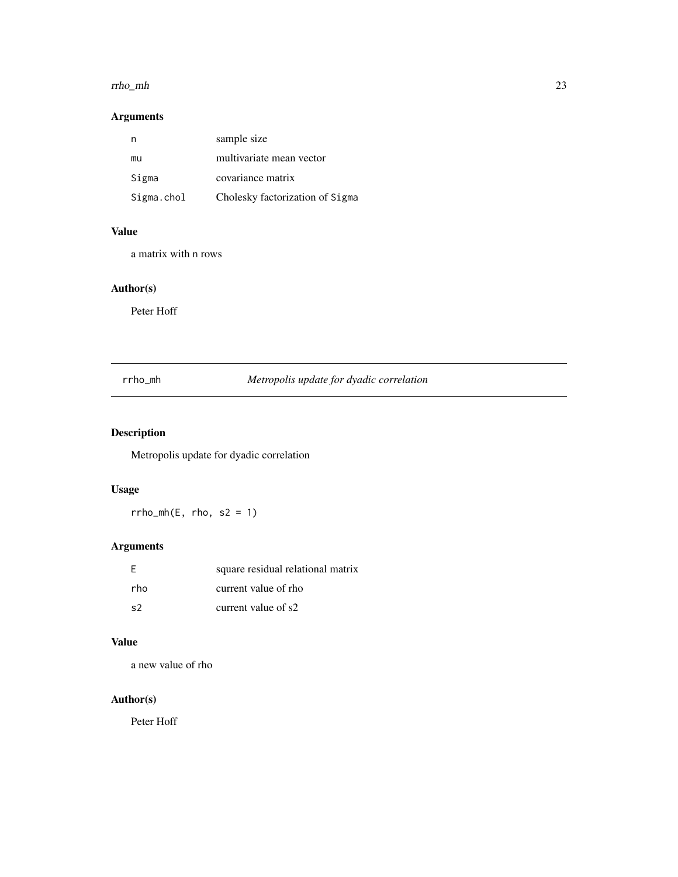#### <span id="page-22-0"></span>rrho\_mh 23

### Arguments

| n          | sample size                     |
|------------|---------------------------------|
| mu         | multivariate mean vector        |
| Sigma      | covariance matrix               |
| Sigma.chol | Cholesky factorization of Sigma |

### Value

a matrix with n rows

### Author(s)

Peter Hoff

### rrho\_mh *Metropolis update for dyadic correlation*

## Description

Metropolis update for dyadic correlation

### Usage

 $rrho_mh(E, rho, s2 = 1)$ 

## Arguments

| - F  | square residual relational matrix |
|------|-----------------------------------|
| rho. | current value of rho              |
| s2   | current value of s2               |

### Value

a new value of rho

### Author(s)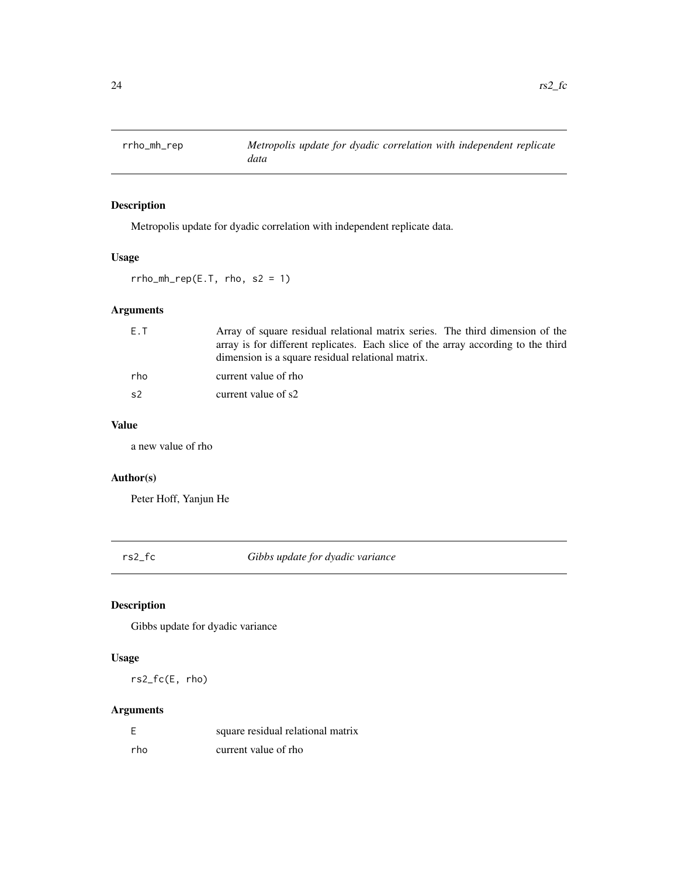<span id="page-23-0"></span>

Metropolis update for dyadic correlation with independent replicate data.

### Usage

 $rrho_mh_rep(E.T, rho, s2 = 1)$ 

## Arguments

| E.T            | Array of square residual relational matrix series. The third dimension of the<br>array is for different replicates. Each slice of the array according to the third |
|----------------|--------------------------------------------------------------------------------------------------------------------------------------------------------------------|
|                | dimension is a square residual relational matrix.                                                                                                                  |
| rho            | current value of rho                                                                                                                                               |
| s <sub>2</sub> | current value of s2                                                                                                                                                |

### Value

a new value of rho

### Author(s)

Peter Hoff, Yanjun He

rs2\_fc *Gibbs update for dyadic variance*

### Description

Gibbs update for dyadic variance

### Usage

rs2\_fc(E, rho)

### Arguments

| - F  | square residual relational matrix |
|------|-----------------------------------|
| rho. | current value of rho              |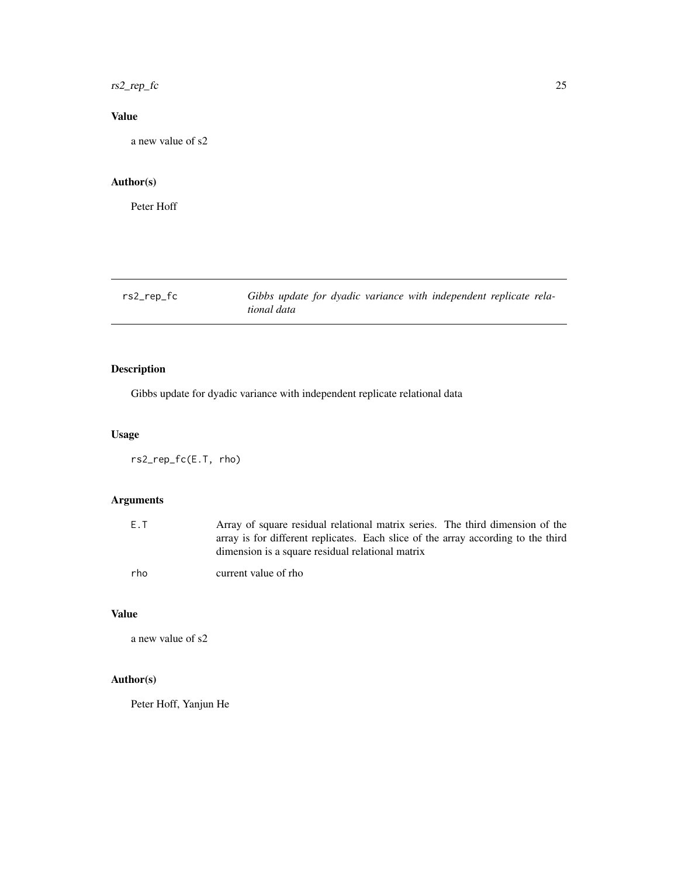<span id="page-24-0"></span> $rs2_rep_f$   $\in$  25

### Value

a new value of s2

### Author(s)

Peter Hoff

rs2\_rep\_fc *Gibbs update for dyadic variance with independent replicate relational data*

### Description

Gibbs update for dyadic variance with independent replicate relational data

#### Usage

rs2\_rep\_fc(E.T, rho)

### Arguments

| E.T | Array of square residual relational matrix series. The third dimension of the     |
|-----|-----------------------------------------------------------------------------------|
|     | array is for different replicates. Each slice of the array according to the third |
|     | dimension is a square residual relational matrix                                  |
| rho | current value of rho                                                              |

#### Value

a new value of s2

### Author(s)

Peter Hoff, Yanjun He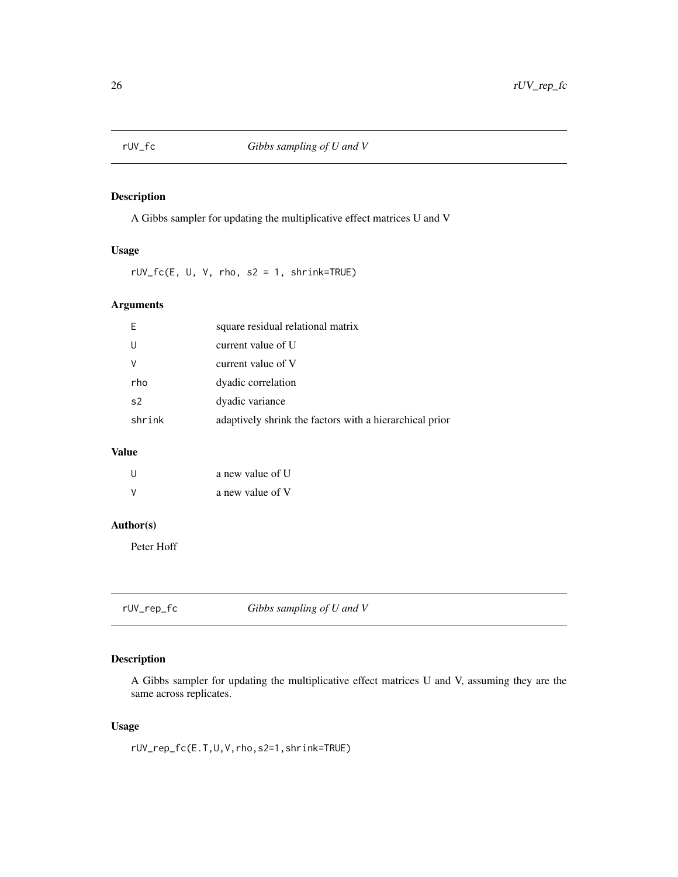<span id="page-25-0"></span>

A Gibbs sampler for updating the multiplicative effect matrices U and V

### Usage

rUV\_fc(E, U, V, rho, s2 = 1, shrink=TRUE)

### Arguments

| E              | square residual relational matrix                       |
|----------------|---------------------------------------------------------|
| U              | current value of U                                      |
| V              | current value of V                                      |
| rho            | dyadic correlation                                      |
| s <sub>2</sub> | dyadic variance                                         |
| shrink         | adaptively shrink the factors with a hierarchical prior |

### Value

| U | a new value of U |
|---|------------------|
| v | a new value of V |

### Author(s)

Peter Hoff

rUV\_rep\_fc *Gibbs sampling of U and V*

### Description

A Gibbs sampler for updating the multiplicative effect matrices U and V, assuming they are the same across replicates.

### Usage

rUV\_rep\_fc(E.T,U,V,rho,s2=1,shrink=TRUE)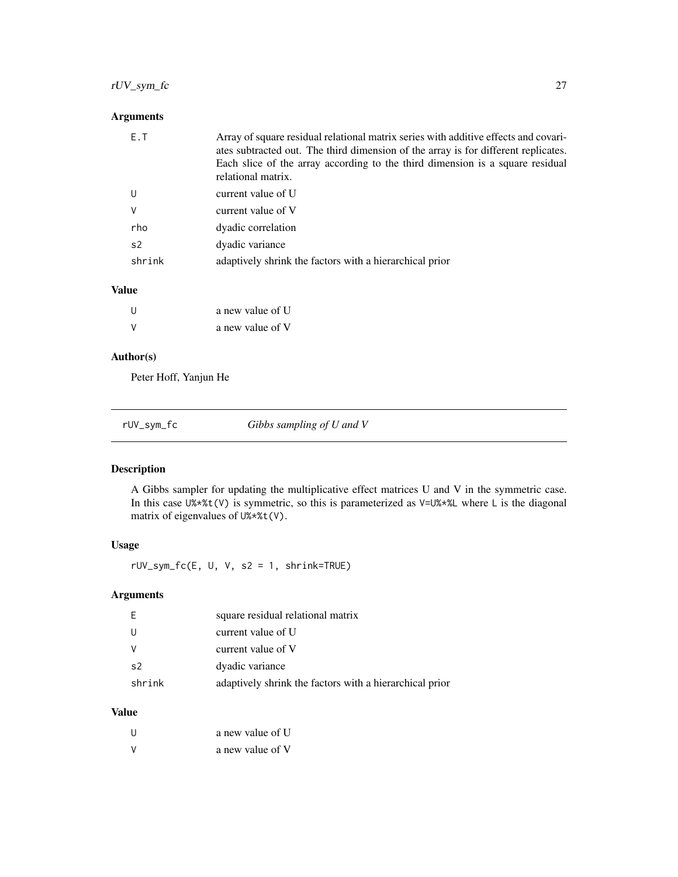### <span id="page-26-0"></span>rUV\_sym\_fc 27

### Arguments

| E.T    | Array of square residual relational matrix series with additive effects and covari-<br>ates subtracted out. The third dimension of the array is for different replicates.<br>Each slice of the array according to the third dimension is a square residual<br>relational matrix. |
|--------|----------------------------------------------------------------------------------------------------------------------------------------------------------------------------------------------------------------------------------------------------------------------------------|
| U      | current value of U                                                                                                                                                                                                                                                               |
| v      | current value of V                                                                                                                                                                                                                                                               |
| rho    | dyadic correlation                                                                                                                                                                                                                                                               |
| s2     | dyadic variance                                                                                                                                                                                                                                                                  |
| shrink | adaptively shrink the factors with a hierarchical prior                                                                                                                                                                                                                          |

#### Value

| U | a new value of U |
|---|------------------|
| V | a new value of V |

### Author(s)

Peter Hoff, Yanjun He

| Gibbs sampling of U and V<br>rUV_sym_fc |
|-----------------------------------------|
|-----------------------------------------|

### Description

A Gibbs sampler for updating the multiplicative effect matrices U and V in the symmetric case. In this case  $U\$ \*}{t(V)} is symmetric, so this is parameterized as  $V=U\$ \*}{L where L is the diagonal matrix of eigenvalues of U%\*%t(V).

### Usage

rUV\_sym\_fc(E, U, V, s2 = 1, shrink=TRUE)

### Arguments

| E              | square residual relational matrix                       |
|----------------|---------------------------------------------------------|
| U              | current value of U                                      |
| V              | current value of V                                      |
| s <sub>2</sub> | dyadic variance                                         |
| shrink         | adaptively shrink the factors with a hierarchical prior |

### Value

| - 11   | a new value of U |
|--------|------------------|
| $\vee$ | a new value of V |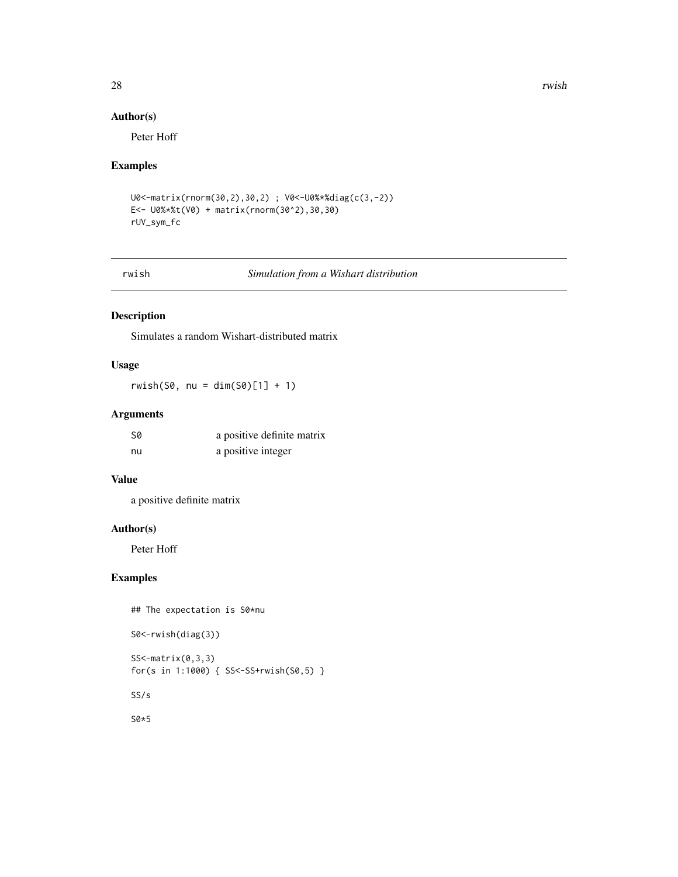#### <span id="page-27-0"></span>28 rwish and the contract of the contract of the contract of the contract of the contract of the contract of the contract of the contract of the contract of the contract of the contract of the contract of the contract of t

### Author(s)

Peter Hoff

#### Examples

```
U0<-matrix(rnorm(30,2),30,2) ; V0<-U0%*%diag(c(3,-2))
E<- U0%*%t(V0) + matrix(rnorm(30^2),30,30)
rUV_sym_fc
```
rwish *Simulation from a Wishart distribution*

### Description

Simulates a random Wishart-distributed matrix

### Usage

 $r wish(S0, nu = dim(S0)[1] + 1)$ 

### Arguments

| .SØ | a positive definite matrix |
|-----|----------------------------|
| nu  | a positive integer         |

#### Value

a positive definite matrix

#### Author(s)

Peter Hoff

### Examples

## The expectation is S0\*nu

S0<-rwish(diag(3))

SS<-matrix(0,3,3) for(s in 1:1000) { SS<-SS+rwish(S0,5) }

SS/s

S0\*5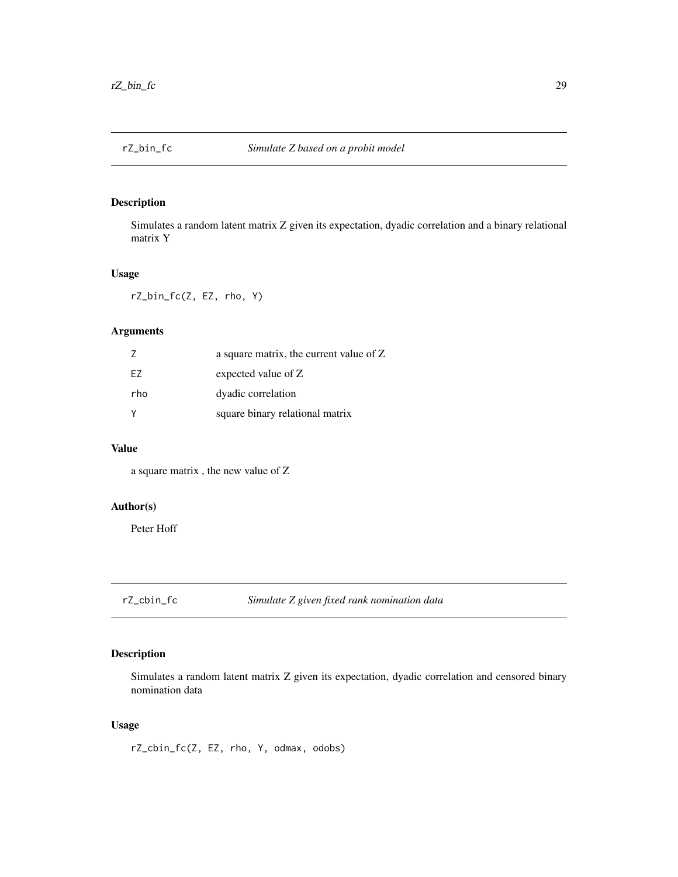<span id="page-28-0"></span>

Simulates a random latent matrix Z given its expectation, dyadic correlation and a binary relational matrix Y

### Usage

rZ\_bin\_fc(Z, EZ, rho, Y)

### Arguments

|     | a square matrix, the current value of Z |
|-----|-----------------------------------------|
| F7  | expected value of Z                     |
| rho | dyadic correlation                      |
|     | square binary relational matrix         |

#### Value

a square matrix , the new value of Z

### Author(s)

Peter Hoff

rZ\_cbin\_fc *Simulate Z given fixed rank nomination data*

### Description

Simulates a random latent matrix Z given its expectation, dyadic correlation and censored binary nomination data

### Usage

rZ\_cbin\_fc(Z, EZ, rho, Y, odmax, odobs)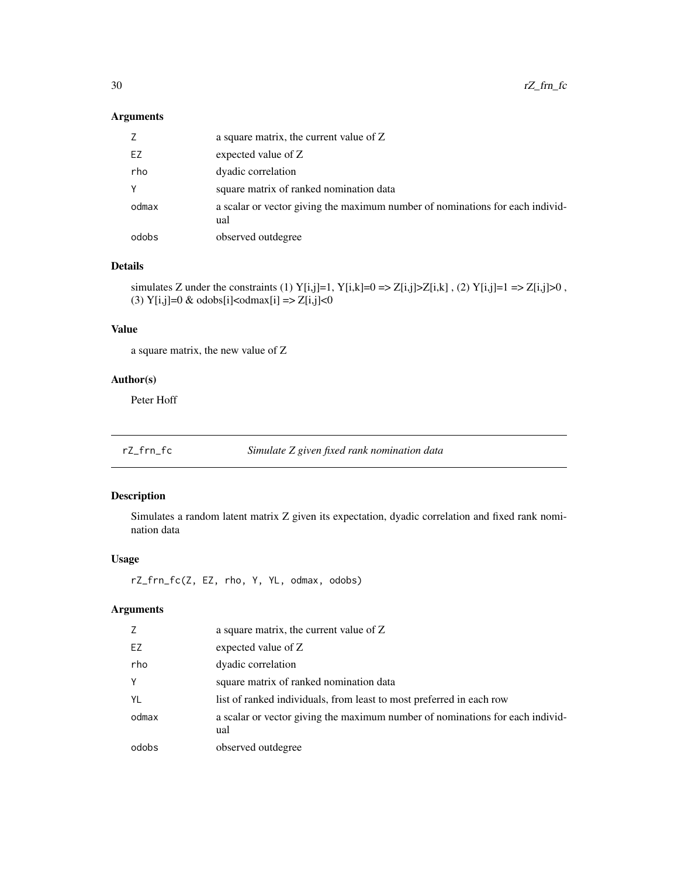### <span id="page-29-0"></span>Arguments

| Z     | a square matrix, the current value of Z                                              |
|-------|--------------------------------------------------------------------------------------|
| EZ    | expected value of Z                                                                  |
| rho   | dyadic correlation                                                                   |
| Υ     | square matrix of ranked nomination data                                              |
| odmax | a scalar or vector giving the maximum number of nominations for each individ-<br>ual |
| odobs | observed outdegree                                                                   |

#### Details

simulates Z under the constraints (1) Y[i,j]=1, Y[i,k]=0 => Z[i,j]>Z[i,k], (2) Y[i,j]=1 => Z[i,j]>0, (3) Y[i,j]=0 & odobs[i]<odmax[i] => Z[i,j]<0

### Value

a square matrix, the new value of Z

### Author(s)

Peter Hoff

| rZ_frn_fc | Simulate Z given fixed rank nomination data |  |
|-----------|---------------------------------------------|--|
|           |                                             |  |

### Description

Simulates a random latent matrix Z given its expectation, dyadic correlation and fixed rank nomination data

### Usage

rZ\_frn\_fc(Z, EZ, rho, Y, YL, odmax, odobs)

### Arguments

| Z     | a square matrix, the current value of Z                                              |
|-------|--------------------------------------------------------------------------------------|
| EZ    | expected value of Z                                                                  |
| rho   | dyadic correlation                                                                   |
| Y     | square matrix of ranked nomination data                                              |
| YL    | list of ranked individuals, from least to most preferred in each row                 |
| odmax | a scalar or vector giving the maximum number of nominations for each individ-<br>ual |
| odobs | observed outdegree                                                                   |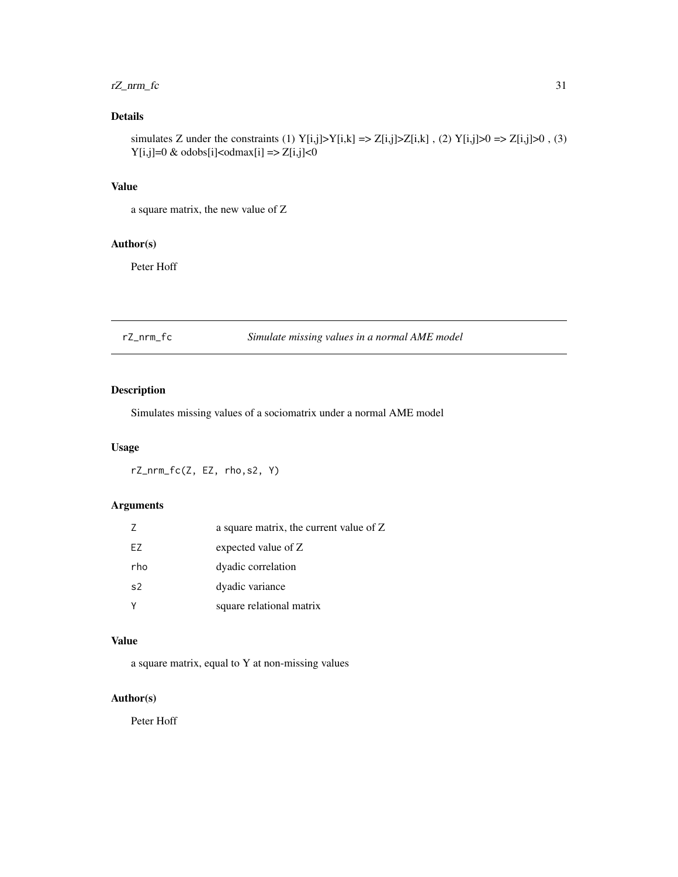### <span id="page-30-0"></span> $rZ_n$ nrm $fc$  31

### Details

simulates Z under the constraints (1)  $Y[i,j] > Y[i,k] \Rightarrow Z[i,j] > Z[i,k]$ , (2)  $Y[i,j] > 0 \Rightarrow Z[i,j] > 0$ , (3)  $Y[i,j]=0$  & odobs $[i]<sub>co</sub>dmax[i]$  =>  $Z[i,j]<sub>0</sub>$ 

### Value

a square matrix, the new value of Z

### Author(s)

Peter Hoff

### rZ\_nrm\_fc *Simulate missing values in a normal AME model*

### Description

Simulates missing values of a sociomatrix under a normal AME model

### Usage

rZ\_nrm\_fc(Z, EZ, rho,s2, Y)

### Arguments

| Ζ              | a square matrix, the current value of Z |
|----------------|-----------------------------------------|
| EZ             | expected value of Z                     |
| rho            | dyadic correlation                      |
| s <sub>2</sub> | dyadic variance                         |
| Y              | square relational matrix                |

### Value

a square matrix, equal to Y at non-missing values

### Author(s)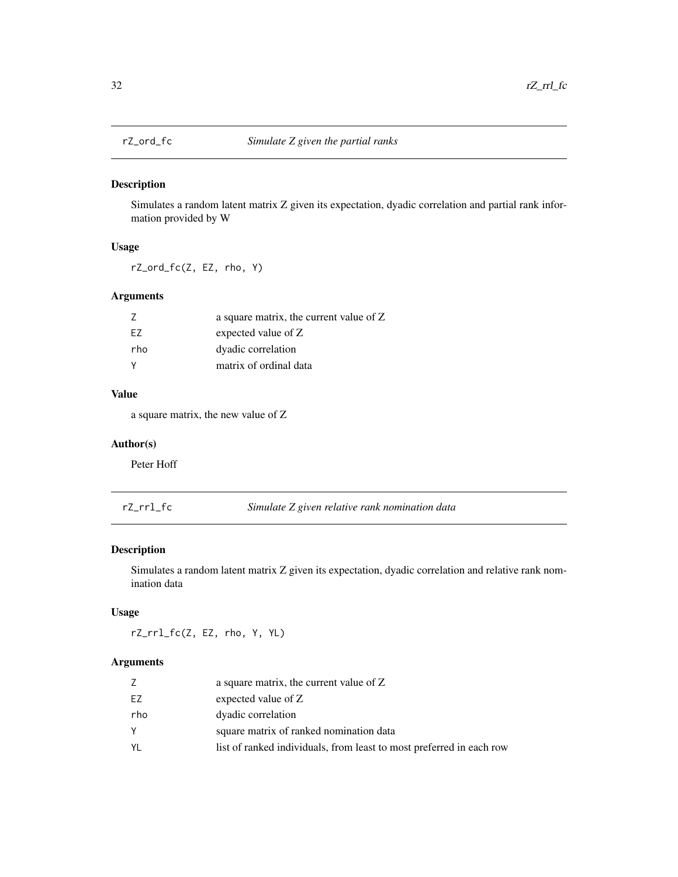<span id="page-31-0"></span>

Simulates a random latent matrix Z given its expectation, dyadic correlation and partial rank information provided by W

### Usage

rZ\_ord\_fc(Z, EZ, rho, Y)

### Arguments

|          | a square matrix, the current value of Z |
|----------|-----------------------------------------|
| F7       | expected value of Z                     |
| rho      | dyadic correlation                      |
| <b>V</b> | matrix of ordinal data                  |

#### Value

a square matrix, the new value of Z

### Author(s)

Peter Hoff

| rZ_rrl_fc | Simulate Z given relative rank nomination data |
|-----------|------------------------------------------------|
|-----------|------------------------------------------------|

### Description

Simulates a random latent matrix Z given its expectation, dyadic correlation and relative rank nomination data

### Usage

rZ\_rrl\_fc(Z, EZ, rho, Y, YL)

### Arguments

|     | a square matrix, the current value of Z                              |
|-----|----------------------------------------------------------------------|
| EZ  | expected value of Z                                                  |
| rho | dyadic correlation                                                   |
| Υ   | square matrix of ranked nomination data                              |
| YL  | list of ranked individuals, from least to most preferred in each row |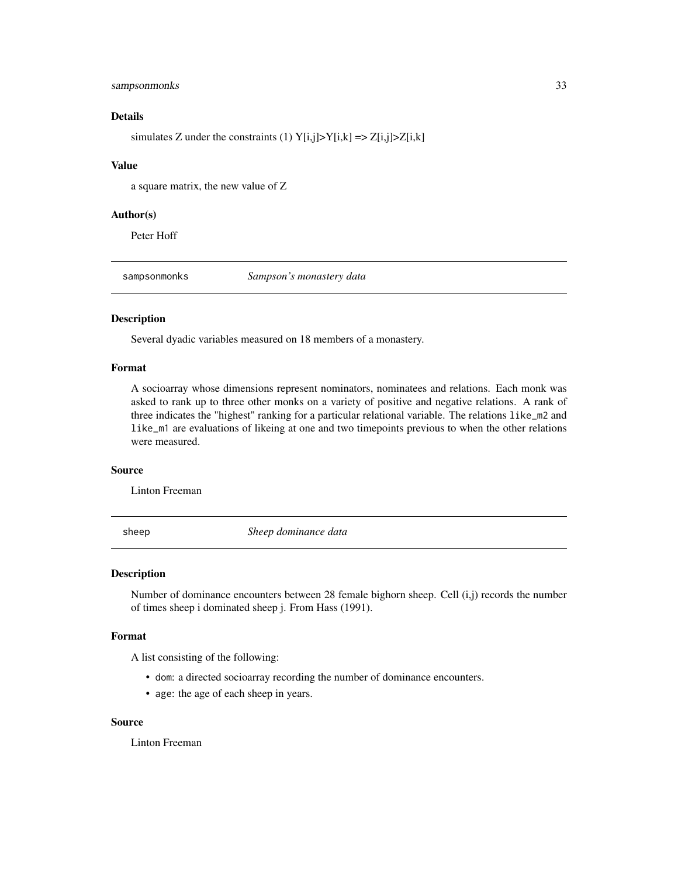#### <span id="page-32-0"></span>sampsonmonks 33

### Details

simulates Z under the constraints (1)  $Y[i,j] > Y[i,k] \implies Z[i,j] > Z[i,k]$ 

#### Value

a square matrix, the new value of Z

#### Author(s)

Peter Hoff

sampsonmonks *Sampson's monastery data*

#### Description

Several dyadic variables measured on 18 members of a monastery.

#### Format

A socioarray whose dimensions represent nominators, nominatees and relations. Each monk was asked to rank up to three other monks on a variety of positive and negative relations. A rank of three indicates the "highest" ranking for a particular relational variable. The relations like\_m2 and like\_m1 are evaluations of likeing at one and two timepoints previous to when the other relations were measured.

#### Source

Linton Freeman

sheep *Sheep dominance data*

#### Description

Number of dominance encounters between 28 female bighorn sheep. Cell (i,j) records the number of times sheep i dominated sheep j. From Hass (1991).

#### Format

A list consisting of the following:

- dom: a directed socioarray recording the number of dominance encounters.
- age: the age of each sheep in years.

#### Source

Linton Freeman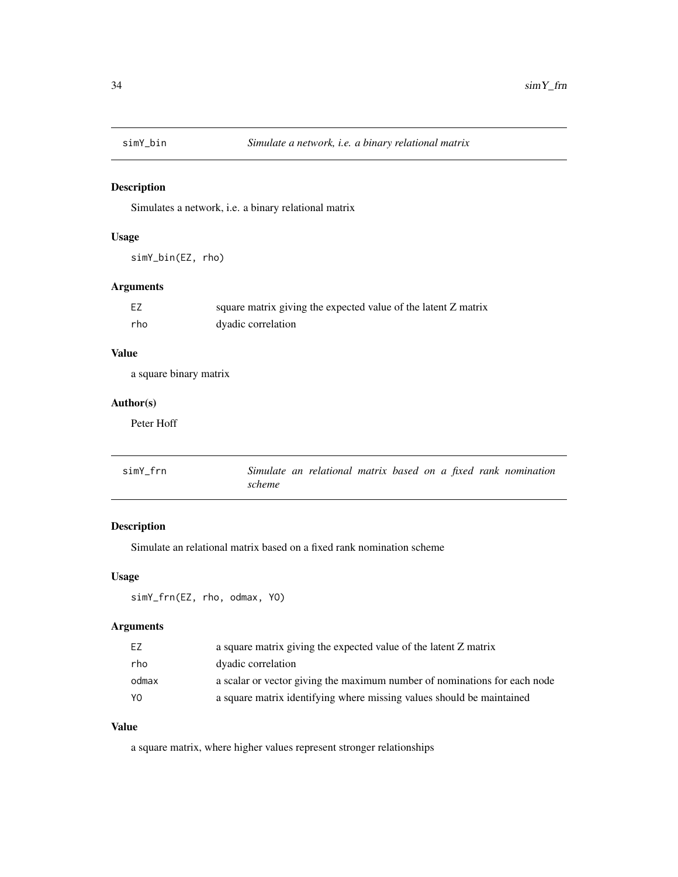<span id="page-33-0"></span>

Simulates a network, i.e. a binary relational matrix

### Usage

simY\_bin(EZ, rho)

### Arguments

| EZ  | square matrix giving the expected value of the latent Z matrix |
|-----|----------------------------------------------------------------|
| rho | dyadic correlation                                             |

### Value

a square binary matrix

#### Author(s)

Peter Hoff

| simY frn | Simulate an relational matrix based on a fixed rank nomination |  |  |  |  |
|----------|----------------------------------------------------------------|--|--|--|--|
|          | scheme                                                         |  |  |  |  |

### Description

Simulate an relational matrix based on a fixed rank nomination scheme

#### Usage

```
simY_frn(EZ, rho, odmax, YO)
```
### Arguments

| F7    | a square matrix giving the expected value of the latent Z matrix          |
|-------|---------------------------------------------------------------------------|
| rho   | dyadic correlation                                                        |
| odmax | a scalar or vector giving the maximum number of nominations for each node |
| Y0    | a square matrix identifying where missing values should be maintained     |

### Value

a square matrix, where higher values represent stronger relationships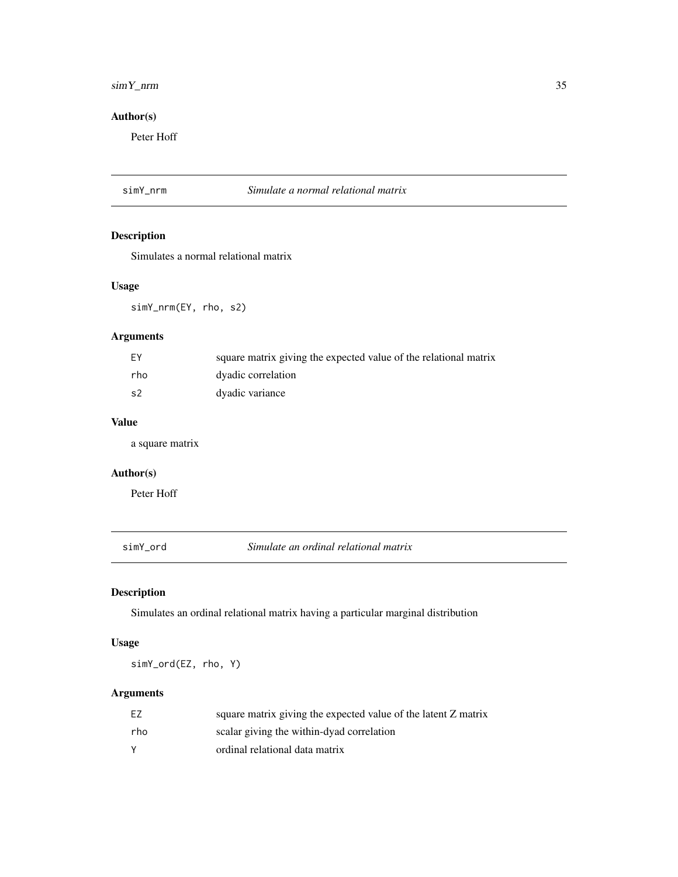### <span id="page-34-0"></span> $\sin Y_{\text{unr}}$  35

### Author(s)

Peter Hoff

### simY\_nrm *Simulate a normal relational matrix*

### Description

Simulates a normal relational matrix

### Usage

simY\_nrm(EY, rho, s2)

### Arguments

| EY  | square matrix giving the expected value of the relational matrix |
|-----|------------------------------------------------------------------|
| rho | dyadic correlation                                               |
| s2  | dyadic variance                                                  |

### Value

a square matrix

#### Author(s)

Peter Hoff

simY\_ord *Simulate an ordinal relational matrix*

### Description

Simulates an ordinal relational matrix having a particular marginal distribution

### Usage

simY\_ord(EZ, rho, Y)

### Arguments

| EZ       | square matrix giving the expected value of the latent Z matrix |
|----------|----------------------------------------------------------------|
| rho      | scalar giving the within-dyad correlation                      |
| <b>Y</b> | ordinal relational data matrix                                 |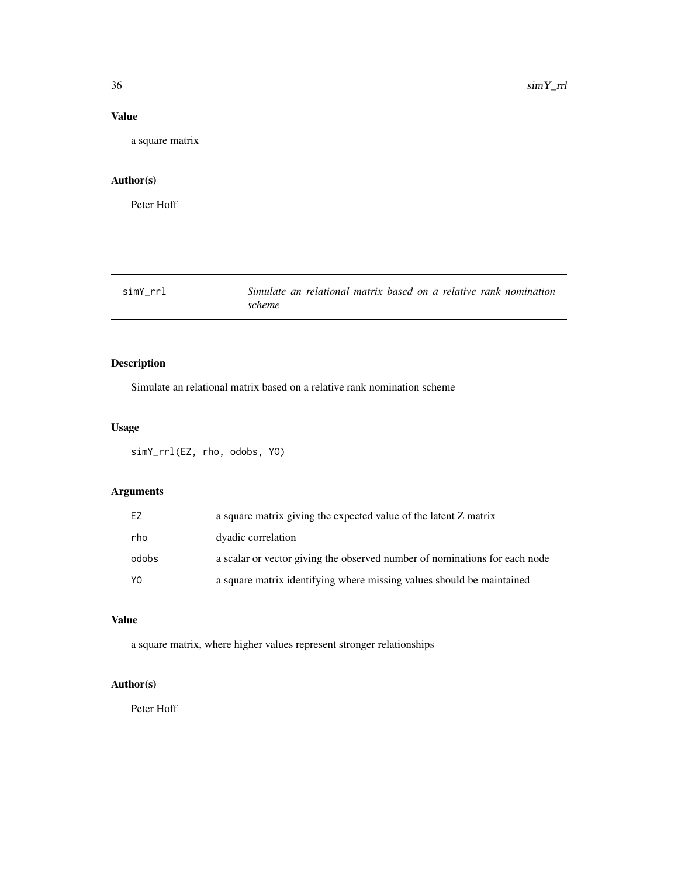### Value

a square matrix

### Author(s)

Peter Hoff

simY\_rrl *Simulate an relational matrix based on a relative rank nomination scheme*

### Description

Simulate an relational matrix based on a relative rank nomination scheme

### Usage

simY\_rrl(EZ, rho, odobs, YO)

### Arguments

| EZ    | a square matrix giving the expected value of the latent Z matrix           |
|-------|----------------------------------------------------------------------------|
| rho   | dyadic correlation                                                         |
| odobs | a scalar or vector giving the observed number of nominations for each node |
| Y0    | a square matrix identifying where missing values should be maintained      |

#### Value

a square matrix, where higher values represent stronger relationships

### Author(s)

<span id="page-35-0"></span>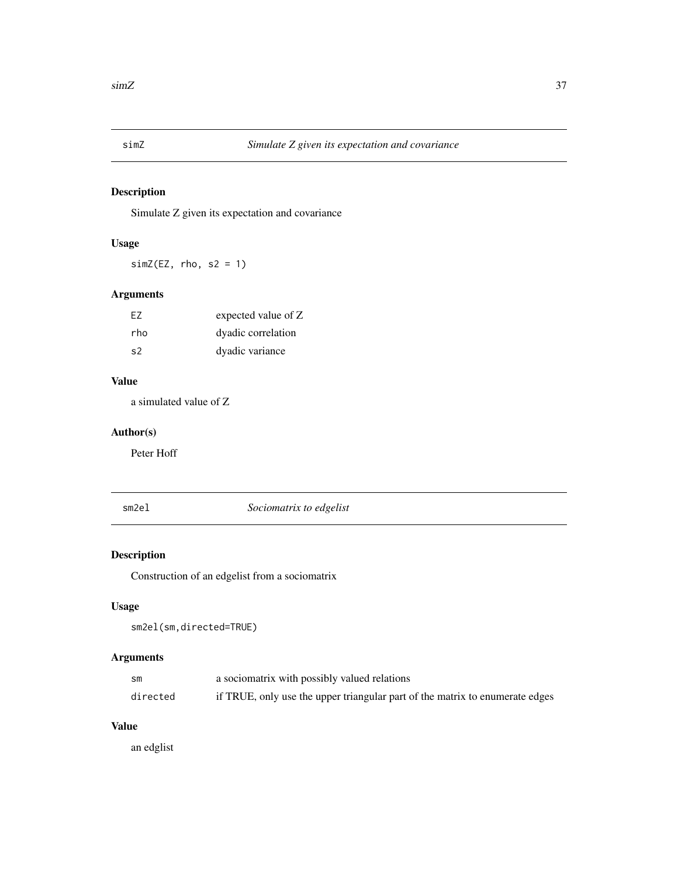<span id="page-36-0"></span>

Simulate Z given its expectation and covariance

### Usage

 $simZ(EZ, rho, s2 = 1)$ 

### Arguments

| F7             | expected value of Z |
|----------------|---------------------|
| rho            | dyadic correlation  |
| S <sub>2</sub> | dyadic variance     |

### Value

a simulated value of Z

### Author(s)

Peter Hoff

#### sm2el *Sociomatrix to edgelist*

### Description

Construction of an edgelist from a sociomatrix

### Usage

```
sm2el(sm,directed=TRUE)
```
### Arguments

| sm       | a sociomatrix with possibly valued relations                                 |
|----------|------------------------------------------------------------------------------|
| directed | if TRUE, only use the upper triangular part of the matrix to enumerate edges |

### Value

an edglist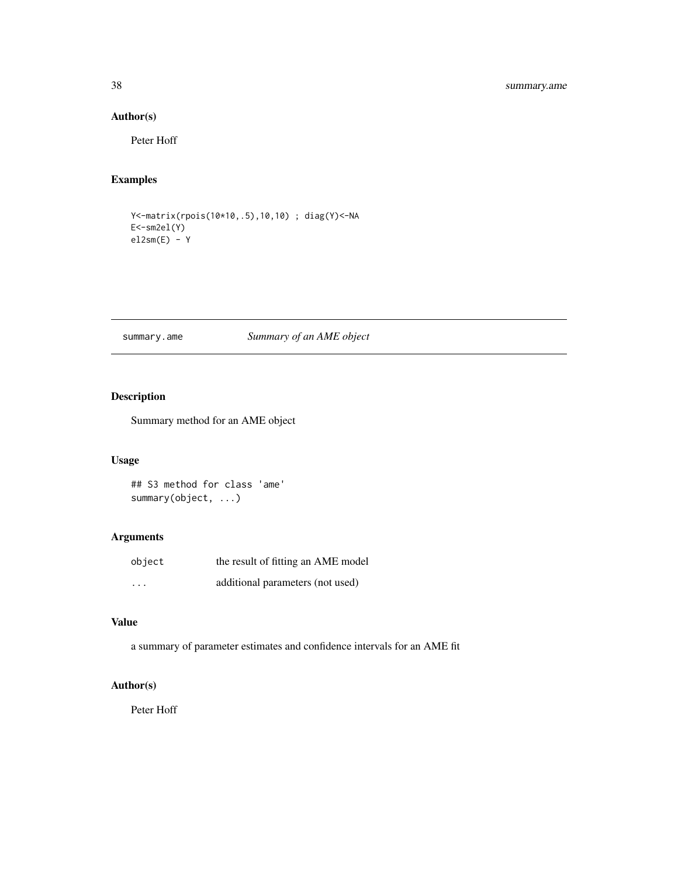### <span id="page-37-0"></span>38 summary.ame

### Author(s)

Peter Hoff

### Examples

Y<-matrix(rpois(10\*10,.5),10,10) ; diag(Y)<-NA E<-sm2el(Y)  $el2sm(E) - Y$ 

### summary.ame *Summary of an AME object*

### Description

Summary method for an AME object

#### Usage

## S3 method for class 'ame' summary(object, ...)

### Arguments

| object  | the result of fitting an AME model |
|---------|------------------------------------|
| $\cdot$ | additional parameters (not used)   |

### Value

a summary of parameter estimates and confidence intervals for an AME fit

### Author(s)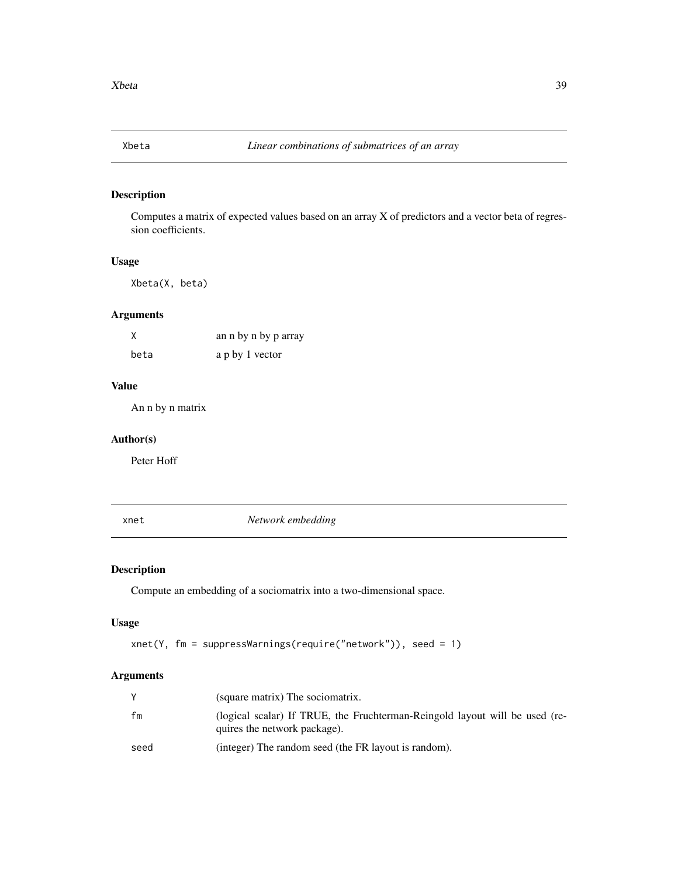<span id="page-38-0"></span>

Computes a matrix of expected values based on an array X of predictors and a vector beta of regression coefficients.

### Usage

Xbeta(X, beta)

### Arguments

| X    | an n by n by p array |
|------|----------------------|
| beta | a p by 1 vector      |

#### Value

An n by n matrix

### Author(s)

Peter Hoff

xnet *Network embedding*

### Description

Compute an embedding of a sociomatrix into a two-dimensional space.

#### Usage

```
xnet(Y, fm = suppressWarnings(require("network")), seed = 1)
```
### Arguments

|      | (square matrix) The sociomatrix.                                                                            |
|------|-------------------------------------------------------------------------------------------------------------|
| fm   | (logical scalar) If TRUE, the Fruchterman-Reingold layout will be used (re-<br>quires the network package). |
| seed | (integer) The random seed (the FR layout is random).                                                        |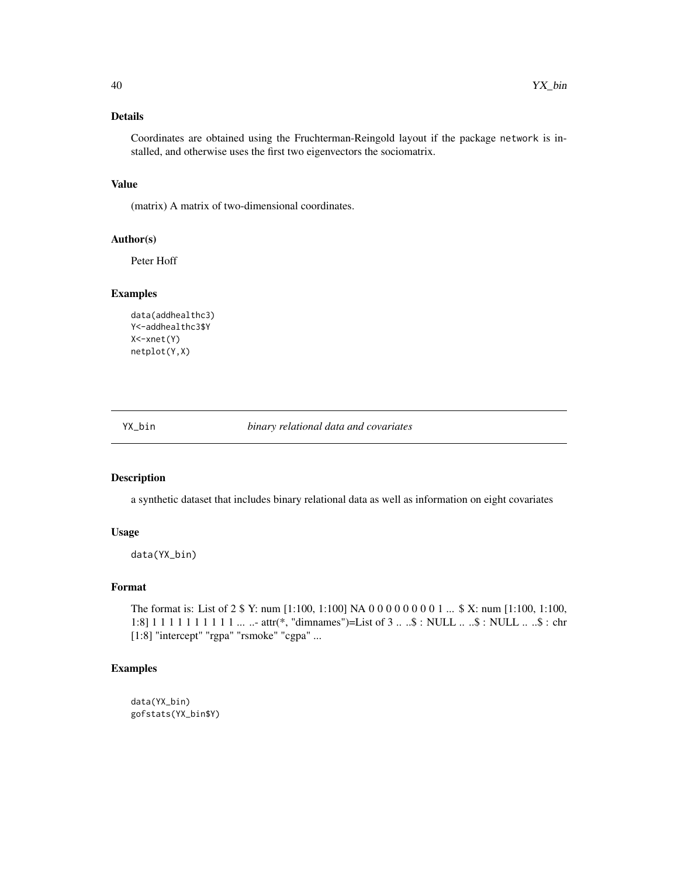#### <span id="page-39-0"></span>Details

Coordinates are obtained using the Fruchterman-Reingold layout if the package network is installed, and otherwise uses the first two eigenvectors the sociomatrix.

#### Value

(matrix) A matrix of two-dimensional coordinates.

#### Author(s)

Peter Hoff

#### Examples

```
data(addhealthc3)
Y<-addhealthc3$Y
X<-xnet(Y)
netplot(Y,X)
```
YX\_bin *binary relational data and covariates*

#### Description

a synthetic dataset that includes binary relational data as well as information on eight covariates

#### Usage

```
data(YX_bin)
```
#### Format

The format is: List of 2 \$ Y: num [1:100, 1:100] NA 0 0 0 0 0 0 0 0 1 ... \$ X: num [1:100, 1:100, 1:8] 1 1 1 1 1 1 1 1 1 1 ... ..- attr(\*, "dimnames")=List of 3 .. ..\$ : NULL .. ..\$ : NULL .. ..\$ : chr [1:8] "intercept" "rgpa" "rsmoke" "cgpa" ...

#### Examples

```
data(YX_bin)
gofstats(YX_bin$Y)
```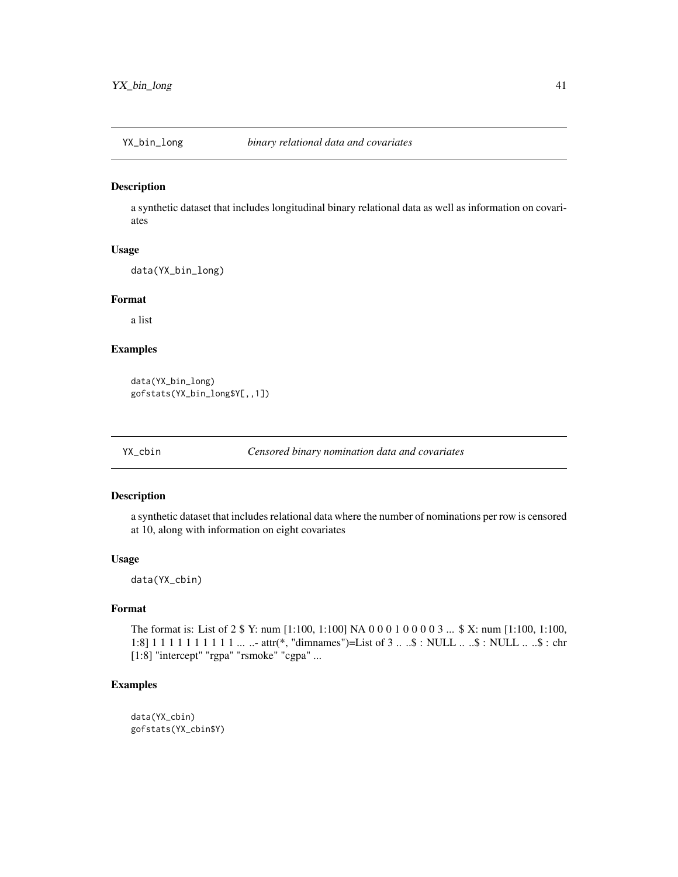<span id="page-40-0"></span>

a synthetic dataset that includes longitudinal binary relational data as well as information on covariates

### Usage

data(YX\_bin\_long)

### Format

a list

### Examples

data(YX\_bin\_long) gofstats(YX\_bin\_long\$Y[,,1])

YX\_cbin *Censored binary nomination data and covariates*

#### Description

a synthetic dataset that includes relational data where the number of nominations per row is censored at 10, along with information on eight covariates

#### Usage

data(YX\_cbin)

### Format

The format is: List of 2 \$ Y: num [1:100, 1:100] NA 0 0 0 1 0 0 0 0 3 ... \$ X: num [1:100, 1:100, 1:8] 1 1 1 1 1 1 1 1 1 1 ... ..- attr(\*, "dimnames")=List of 3 .. ..\$ : NULL .. ..\$ : NULL .. ..\$ : chr [1:8] "intercept" "rgpa" "rsmoke" "cgpa" ...

### Examples

data(YX\_cbin) gofstats(YX\_cbin\$Y)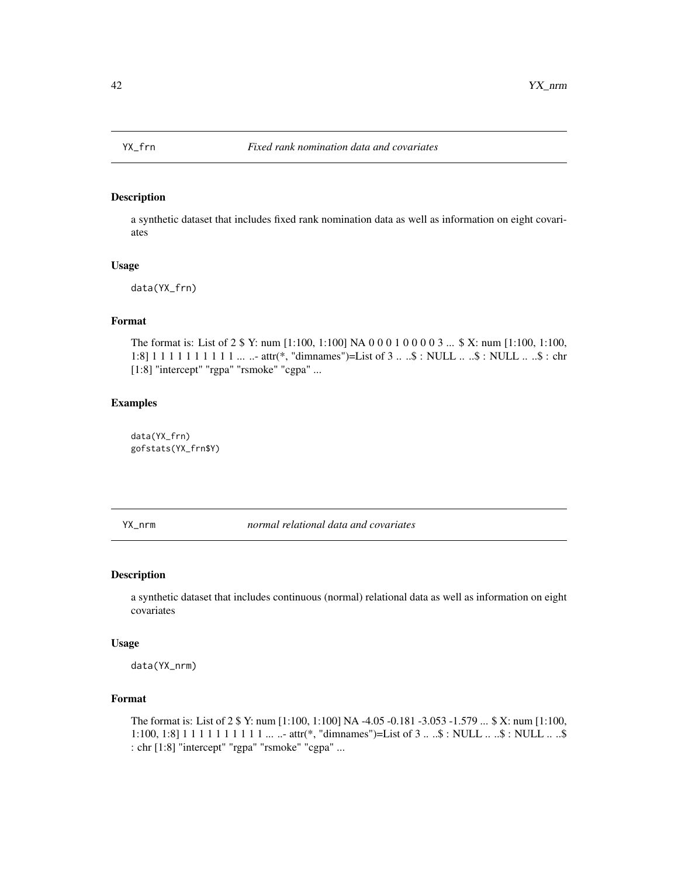<span id="page-41-0"></span>

a synthetic dataset that includes fixed rank nomination data as well as information on eight covariates

#### Usage

data(YX\_frn)

#### Format

The format is: List of 2 \$ Y: num [1:100, 1:100] NA 0 0 0 1 0 0 0 0 3 ... \$ X: num [1:100, 1:100, 1:8] 1 1 1 1 1 1 1 1 1 1 ... ..- attr(\*, "dimnames")=List of 3 .. ..\$ : NULL .. ..\$ : NULL .. ..\$ : chr [1:8] "intercept" "rgpa" "rsmoke" "cgpa" ...

#### Examples

data(YX\_frn) gofstats(YX\_frn\$Y)

YX\_nrm *normal relational data and covariates*

#### Description

a synthetic dataset that includes continuous (normal) relational data as well as information on eight covariates

#### Usage

data(YX\_nrm)

#### Format

The format is: List of 2 \$ Y: num [1:100, 1:100] NA -4.05 -0.181 -3.053 -1.579 ... \$ X: num [1:100, 1:100, 1:8] 1 1 1 1 1 1 1 1 1 1 1 ... ..- attr(\*, "dimnames")=List of 3 ...  $\&$  : NULL ... . $\&$  : NULL ... ..\$ : chr [1:8] "intercept" "rgpa" "rsmoke" "cgpa" ...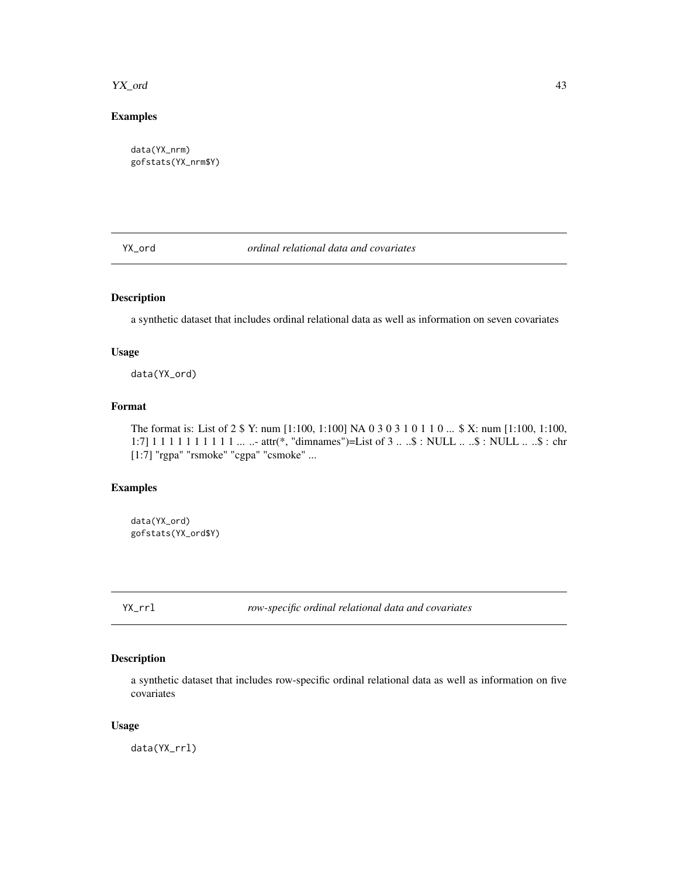#### <span id="page-42-0"></span>YX\_ord 43

### Examples

data(YX\_nrm) gofstats(YX\_nrm\$Y)

YX\_ord *ordinal relational data and covariates*

### Description

a synthetic dataset that includes ordinal relational data as well as information on seven covariates

#### Usage

data(YX\_ord)

#### Format

The format is: List of 2 \$ Y: num [1:100, 1:100] NA 0 3 0 3 1 0 1 1 0 ... \$ X: num [1:100, 1:100, 1:7] 1 1 1 1 1 1 1 1 1 1 ... ..- attr(\*, "dimnames")=List of 3 .. ..\$ : NULL .. ..\$ : NULL .. ..\$ : chr [1:7] "rgpa" "rsmoke" "cgpa" "csmoke" ...

### Examples

data(YX\_ord) gofstats(YX\_ord\$Y)

YX\_rrl *row-specific ordinal relational data and covariates*

### Description

a synthetic dataset that includes row-specific ordinal relational data as well as information on five covariates

### Usage

data(YX\_rrl)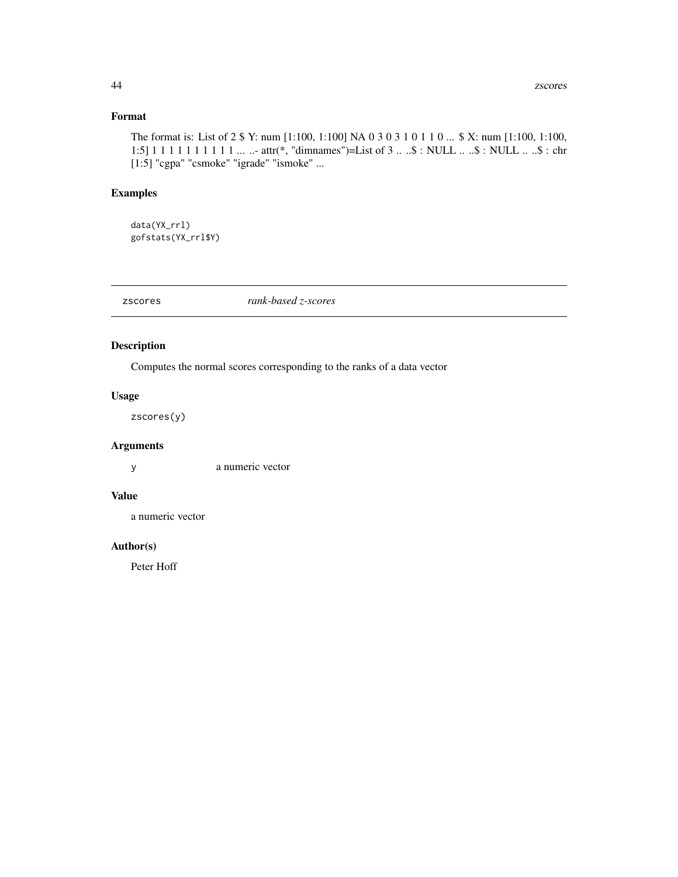### <span id="page-43-0"></span>Format

The format is: List of 2 \$ Y: num [1:100, 1:100] NA 0 3 0 3 1 0 1 1 0 ... \$ X: num [1:100, 1:100, 1:5] 1 1 1 1 1 1 1 1 1 1 ... ..- attr(\*, "dimnames")=List of 3 .. ..\$ : NULL .. ..\$ : NULL .. ..\$ : chr [1:5] "cgpa" "csmoke" "igrade" "ismoke" ...

### Examples

data(YX\_rrl) gofstats(YX\_rrl\$Y)

zscores *rank-based z-scores*

### Description

Computes the normal scores corresponding to the ranks of a data vector

### Usage

zscores(y)

#### Arguments

y a numeric vector

### Value

a numeric vector

#### Author(s)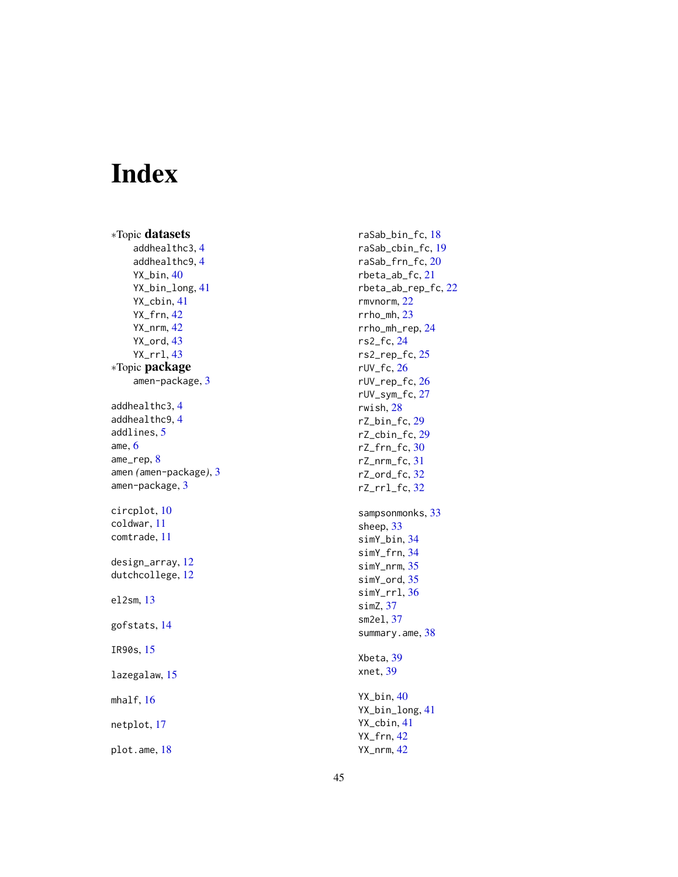# <span id="page-44-0"></span>Index

∗Topic datasets addhealthc3 , [4](#page-3-0) addhealthc9 , [4](#page-3-0) YX\_bin, [40](#page-39-0) YX\_bin\_long , [41](#page-40-0) YX\_cbin , [41](#page-40-0) YX\_frn , [42](#page-41-0) YX\_nrm , [42](#page-41-0) YX\_ord, [43](#page-42-0) YX\_rrl , [43](#page-42-0) ∗Topic package amen-package , [3](#page-2-0) addhealthc3 , [4](#page-3-0) addhealthc9 , [4](#page-3-0) addlines, [5](#page-4-0) ame , [6](#page-5-0) ame\_rep , [8](#page-7-0) amen *(*amen-package *)* , [3](#page-2-0) amen-package, [3](#page-2-0) circplot , [10](#page-9-0) coldwar , [11](#page-10-0) comtrade , [11](#page-10-0) design\_array , [12](#page-11-0) dutchcollege, [12](#page-11-0) el2sm , [13](#page-12-0) gofstats , [14](#page-13-0) IR90s , [15](#page-14-0) lazegalaw , [15](#page-14-0) mhalf, 1<mark>6</mark> netplot , [17](#page-16-0)

plot.ame , [18](#page-17-0)

raSab\_bin\_fc , [18](#page-17-0) raSab\_cbin\_fc , [19](#page-18-0) raSab\_frn\_fc , [20](#page-19-0) rbeta\_ab\_fc , [21](#page-20-0) rbeta\_ab\_rep\_fc , [22](#page-21-0) rmvnorm , [22](#page-21-0) rrho\_mh , [23](#page-22-0) rrho\_mh\_rep , [24](#page-23-0) rs2\_fc , [24](#page-23-0) rs2\_rep\_fc , [25](#page-24-0) rUV\_fc , [26](#page-25-0) rUV\_rep\_fc , [26](#page-25-0) rUV\_sym\_fc , [27](#page-26-0) rwish , [28](#page-27-0) rZ\_bin\_fc , [29](#page-28-0) rZ\_cbin\_fc , [29](#page-28-0) rZ\_frn\_fc , [30](#page-29-0) rZ\_nrm\_fc , [31](#page-30-0) rZ\_ord\_fc , [32](#page-31-0) rZ\_rrl\_fc , [32](#page-31-0) sampsonmonks, [33](#page-32-0) sheep, [33](#page-32-0) simY\_bin , [34](#page-33-0) simY\_frn , [34](#page-33-0) simY\_nrm , [35](#page-34-0) simY\_ord , [35](#page-34-0) simY\_rrl , [36](#page-35-0) simZ , [37](#page-36-0) sm2el , [37](#page-36-0) summary.ame, [38](#page-37-0) Xbeta , [39](#page-38-0) xnet , [39](#page-38-0) YX\_bin , [40](#page-39-0) YX\_bin\_long , [41](#page-40-0) YX\_cbin , [41](#page-40-0) YX\_frn , [42](#page-41-0)

YX\_nrm , [42](#page-41-0)